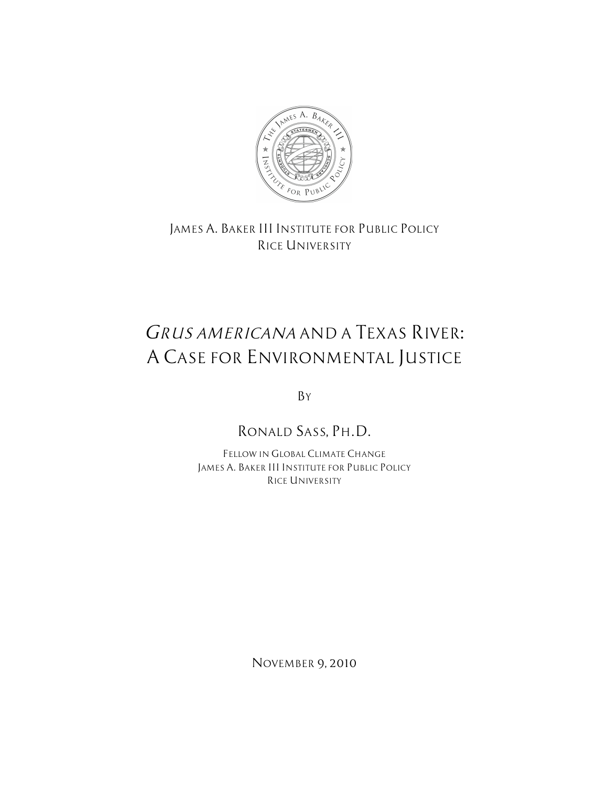

*JAMES A. BAKER III INSTITUTE FOR PUBLIC POLICY RICE UNIVERSITY*

# *GRUS AMERICANA AND A TEXAS RIVER: A CASE FOR ENVIRONMENTAL JUSTICE*

*BY*

*RONALD SASS, PH.D.*

*FELLOW IN GLOBAL CLIMATE CHANGE JAMES A. BAKER III INSTITUTE FOR PUBLIC POLICY RICE UNIVERSITY*

*NOVEMBER 9, 2010*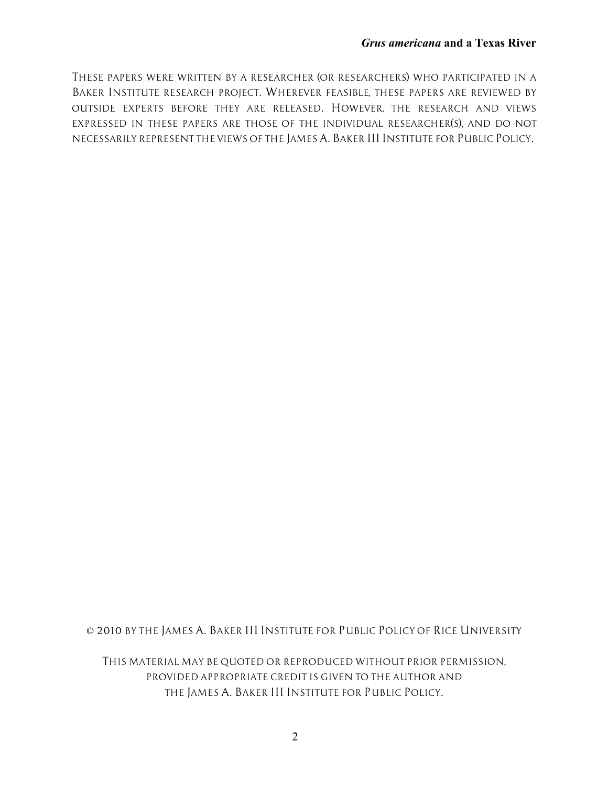*THESE PAPERS WERE WRITTEN BY A RESEARCHER (OR RESEARCHERS) WHO PARTICIPATED IN A BAKER INSTITUTE RESEARCH PROJECT. WHEREVER FEASIBLE, THESE PAPERS ARE REVIEWED BY OUTSIDE EXPERTS BEFORE THEY ARE RELEASED. HOWEVER, THE RESEARCH AND VIEWS EXPRESSED IN THESE PAPERS ARE THOSE OF THE INDIVIDUAL RESEARCHER(S), AND DO NOT NECESSARILY REPRESENT THE VIEWS OF THE JAMES A. BAKER III INSTITUTE FOR PUBLIC POLICY.*

*© 2010 BY THE JAMES A. BAKER III INSTITUTE FOR PUBLIC POLICY OF RICE UNIVERSITY*

*THIS MATERIAL MAY BE QUOTED OR REPRODUCED WITHOUT PRIOR PERMISSION, PROVIDED APPROPRIATE CREDIT IS GIVEN TO THE AUTHOR AND THE JAMES A. BAKER III INSTITUTE FOR PUBLIC POLICY.*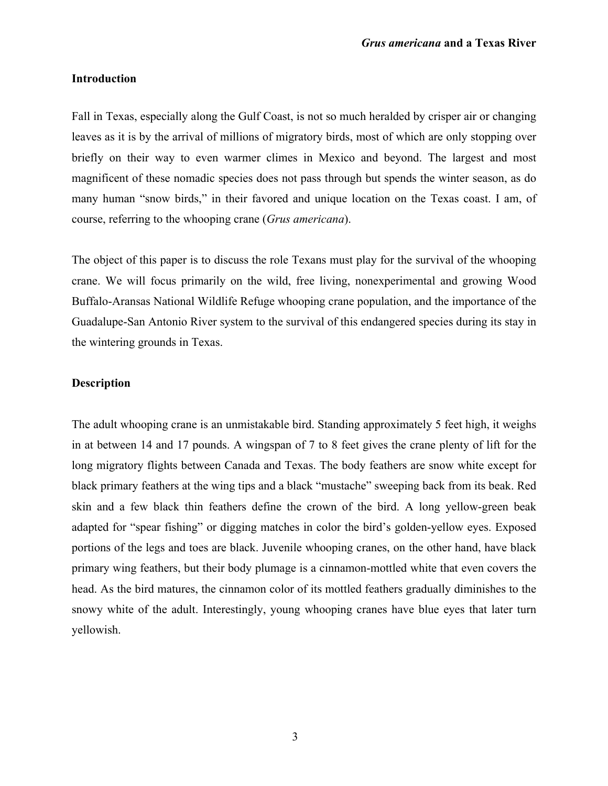## **Introduction**

Fall in Texas, especially along the Gulf Coast, is not so much heralded by crisper air or changing leaves as it is by the arrival of millions of migratory birds, most of which are only stopping over briefly on their way to even warmer climes in Mexico and beyond. The largest and most magnificent of these nomadic species does not pass through but spends the winter season, as do many human "snow birds," in their favored and unique location on the Texas coast. I am, of course, referring to the whooping crane (*Grus americana*).

The object of this paper is to discuss the role Texans must play for the survival of the whooping crane. We will focus primarily on the wild, free living, nonexperimental and growing Wood Buffalo-Aransas National Wildlife Refuge whooping crane population, and the importance of the Guadalupe-San Antonio River system to the survival of this endangered species during its stay in the wintering grounds in Texas.

# **Description**

The adult whooping crane is an unmistakable bird. Standing approximately 5 feet high, it weighs in at between 14 and 17 pounds. A wingspan of 7 to 8 feet gives the crane plenty of lift for the long migratory flights between Canada and Texas. The body feathers are snow white except for black primary feathers at the wing tips and a black "mustache" sweeping back from its beak. Red skin and a few black thin feathers define the crown of the bird. A long yellow-green beak adapted for "spear fishing" or digging matches in color the bird's golden-yellow eyes. Exposed portions of the legs and toes are black. Juvenile whooping cranes, on the other hand, have black primary wing feathers, but their body plumage is a cinnamon-mottled white that even covers the head. As the bird matures, the cinnamon color of its mottled feathers gradually diminishes to the snowy white of the adult. Interestingly, young whooping cranes have blue eyes that later turn yellowish.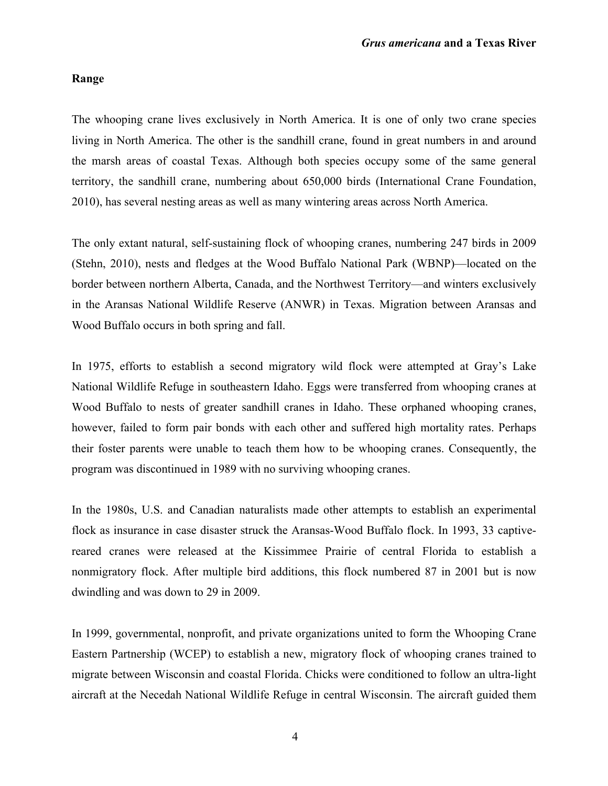## **Range**

The whooping crane lives exclusively in North America. It is one of only two crane species living in North America. The other is the sandhill crane, found in great numbers in and around the marsh areas of coastal Texas. Although both species occupy some of the same general territory, the sandhill crane, numbering about 650,000 birds (International Crane Foundation, 2010), has several nesting areas as well as many wintering areas across North America.

The only extant natural, self-sustaining flock of whooping cranes, numbering 247 birds in 2009 (Stehn, 2010), nests and fledges at the Wood Buffalo National Park (WBNP)—located on the border between northern Alberta, Canada, and the Northwest Territory—and winters exclusively in the Aransas National Wildlife Reserve (ANWR) in Texas. Migration between Aransas and Wood Buffalo occurs in both spring and fall.

In 1975, efforts to establish a second migratory wild flock were attempted at Gray's Lake National Wildlife Refuge in southeastern Idaho. Eggs were transferred from whooping cranes at Wood Buffalo to nests of greater sandhill cranes in Idaho. These orphaned whooping cranes, however, failed to form pair bonds with each other and suffered high mortality rates. Perhaps their foster parents were unable to teach them how to be whooping cranes. Consequently, the program was discontinued in 1989 with no surviving whooping cranes.

In the 1980s, U.S. and Canadian naturalists made other attempts to establish an experimental flock as insurance in case disaster struck the Aransas-Wood Buffalo flock. In 1993, 33 captivereared cranes were released at the Kissimmee Prairie of central Florida to establish a nonmigratory flock. After multiple bird additions, this flock numbered 87 in 2001 but is now dwindling and was down to 29 in 2009.

In 1999, governmental, nonprofit, and private organizations united to form the Whooping Crane Eastern Partnership (WCEP) to establish a new, migratory flock of whooping cranes trained to migrate between Wisconsin and coastal Florida. Chicks were conditioned to follow an ultra-light aircraft at the Necedah National Wildlife Refuge in central Wisconsin. The aircraft guided them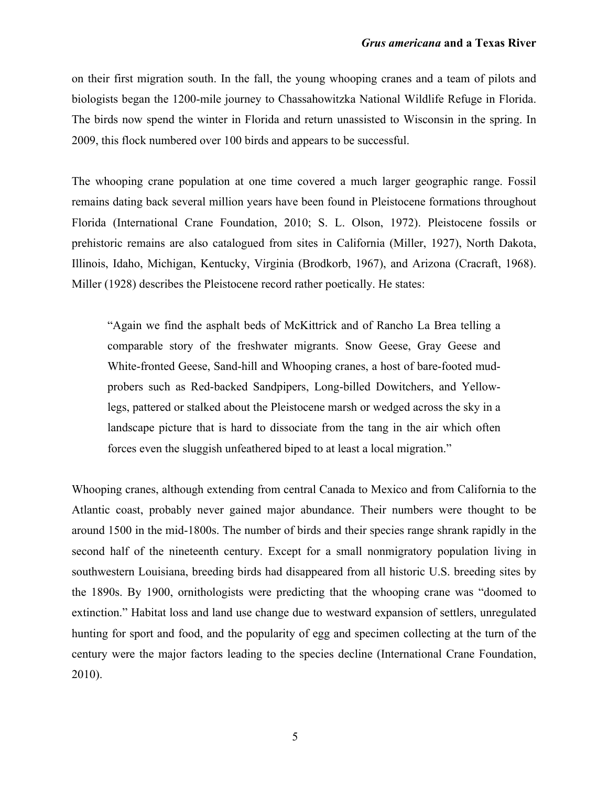on their first migration south. In the fall, the young whooping cranes and a team of pilots and biologists began the 1200-mile journey to Chassahowitzka National Wildlife Refuge in Florida. The birds now spend the winter in Florida and return unassisted to Wisconsin in the spring. In 2009, this flock numbered over 100 birds and appears to be successful.

The whooping crane population at one time covered a much larger geographic range. Fossil remains dating back several million years have been found in Pleistocene formations throughout Florida (International Crane Foundation, 2010; S. L. Olson, 1972). Pleistocene fossils or prehistoric remains are also catalogued from sites in California (Miller, 1927), North Dakota, Illinois, Idaho, Michigan, Kentucky, Virginia (Brodkorb, 1967), and Arizona (Cracraft, 1968). Miller (1928) describes the Pleistocene record rather poetically. He states:

"Again we find the asphalt beds of McKittrick and of Rancho La Brea telling a comparable story of the freshwater migrants. Snow Geese, Gray Geese and White-fronted Geese, Sand-hill and Whooping cranes, a host of bare-footed mudprobers such as Red-backed Sandpipers, Long-billed Dowitchers, and Yellowlegs, pattered or stalked about the Pleistocene marsh or wedged across the sky in a landscape picture that is hard to dissociate from the tang in the air which often forces even the sluggish unfeathered biped to at least a local migration."

Whooping cranes, although extending from central Canada to Mexico and from California to the Atlantic coast, probably never gained major abundance. Their numbers were thought to be around 1500 in the mid-1800s. The number of birds and their species range shrank rapidly in the second half of the nineteenth century. Except for a small nonmigratory population living in southwestern Louisiana, breeding birds had disappeared from all historic U.S. breeding sites by the 1890s. By 1900, ornithologists were predicting that the whooping crane was "doomed to extinction." Habitat loss and land use change due to westward expansion of settlers, unregulated hunting for sport and food, and the popularity of egg and specimen collecting at the turn of the century were the major factors leading to the species decline (International Crane Foundation, 2010).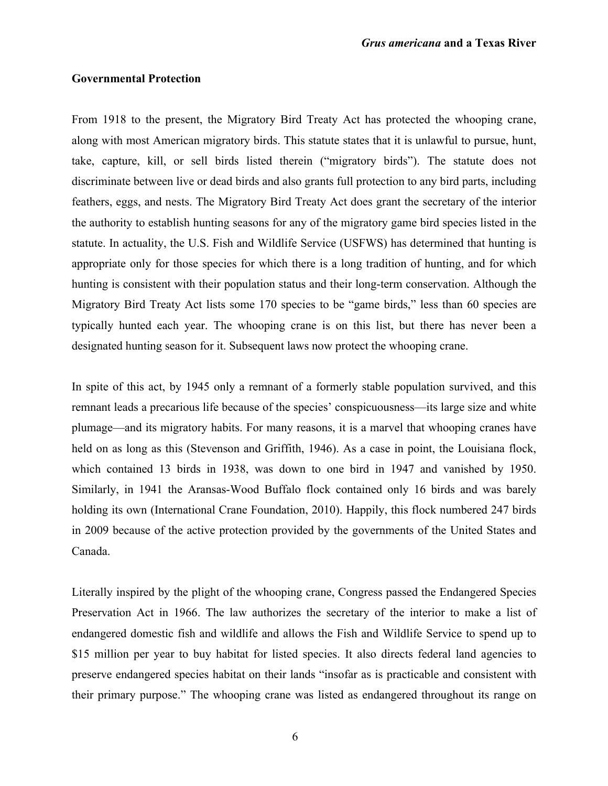## **Governmental Protection**

From 1918 to the present, the Migratory Bird Treaty Act has protected the whooping crane, along with most American migratory birds. This statute states that it is unlawful to pursue, hunt, take, capture, kill, or sell birds listed therein ("migratory birds"). The statute does not discriminate between live or dead birds and also grants full protection to any bird parts, including feathers, eggs, and nests. The Migratory Bird Treaty Act does grant the secretary of the interior the authority to establish hunting seasons for any of the migratory game bird species listed in the statute. In actuality, the U.S. Fish and Wildlife Service (USFWS) has determined that hunting is appropriate only for those species for which there is a long tradition of hunting, and for which hunting is consistent with their population status and their long-term conservation. Although the Migratory Bird Treaty Act lists some 170 species to be "game birds," less than 60 species are typically hunted each year. The whooping crane is on this list, but there has never been a designated hunting season for it. Subsequent laws now protect the whooping crane.

In spite of this act, by 1945 only a remnant of a formerly stable population survived, and this remnant leads a precarious life because of the species' conspicuousness—its large size and white plumage—and its migratory habits. For many reasons, it is a marvel that whooping cranes have held on as long as this (Stevenson and Griffith, 1946). As a case in point, the Louisiana flock, which contained 13 birds in 1938, was down to one bird in 1947 and vanished by 1950. Similarly, in 1941 the Aransas-Wood Buffalo flock contained only 16 birds and was barely holding its own (International Crane Foundation, 2010). Happily, this flock numbered 247 birds in 2009 because of the active protection provided by the governments of the United States and Canada.

Literally inspired by the plight of the whooping crane, Congress passed the Endangered Species Preservation Act in 1966. The law authorizes the secretary of the interior to make a list of endangered domestic fish and wildlife and allows the Fish and Wildlife Service to spend up to \$15 million per year to buy habitat for listed species. It also directs federal land agencies to preserve endangered species habitat on their lands "insofar as is practicable and consistent with their primary purpose." The whooping crane was listed as endangered throughout its range on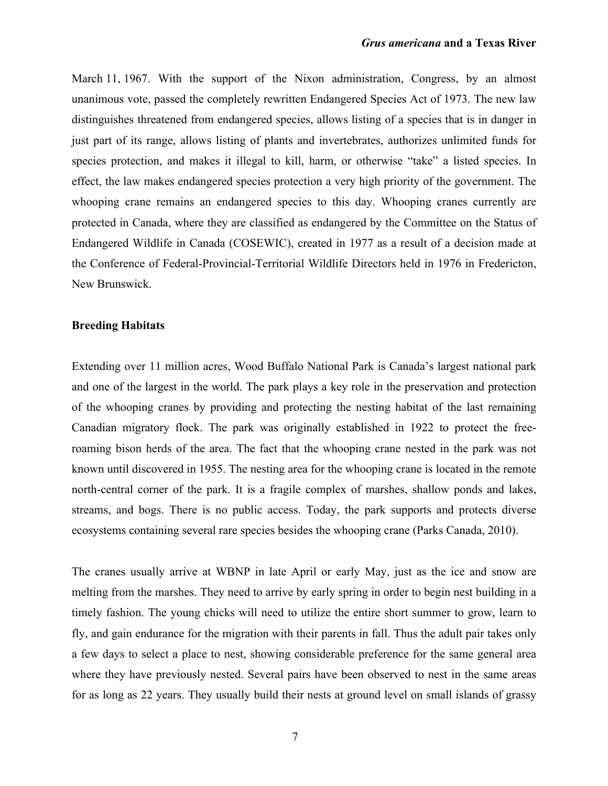March 11, 1967. With the support of the Nixon administration, Congress, by an almost unanimous vote, passed the completely rewritten Endangered Species Act of 1973. The new law distinguishes threatened from endangered species, allows listing of a species that is in danger in just part of its range, allows listing of plants and invertebrates, authorizes unlimited funds for species protection, and makes it illegal to kill, harm, or otherwise "take" a listed species. In effect, the law makes endangered species protection a very high priority of the government. The whooping crane remains an endangered species to this day. Whooping cranes currently are protected in Canada, where they are classified as endangered by the Committee on the Status of Endangered Wildlife in Canada (COSEWIC), created in 1977 as a result of a decision made at the Conference of Federal-Provincial-Territorial Wildlife Directors held in 1976 in Fredericton, New Brunswick.

## **Breeding Habitats**

Extending over 11 million acres, Wood Buffalo National Park is Canada's largest national park and one of the largest in the world. The park plays a key role in the preservation and protection of the whooping cranes by providing and protecting the nesting habitat of the last remaining Canadian migratory flock. The park was originally established in 1922 to protect the freeroaming bison herds of the area. The fact that the whooping crane nested in the park was not known until discovered in 1955. The nesting area for the whooping crane is located in the remote north-central corner of the park. It is a fragile complex of marshes, shallow ponds and lakes, streams, and bogs. There is no public access. Today, the park supports and protects diverse ecosystems containing several rare species besides the whooping crane (Parks Canada, 2010).

The cranes usually arrive at WBNP in late April or early May, just as the ice and snow are melting from the marshes. They need to arrive by early spring in order to begin nest building in a timely fashion. The young chicks will need to utilize the entire short summer to grow, learn to fly, and gain endurance for the migration with their parents in fall. Thus the adult pair takes only a few days to select a place to nest, showing considerable preference for the same general area where they have previously nested. Several pairs have been observed to nest in the same areas for as long as 22 years. They usually build their nests at ground level on small islands of grassy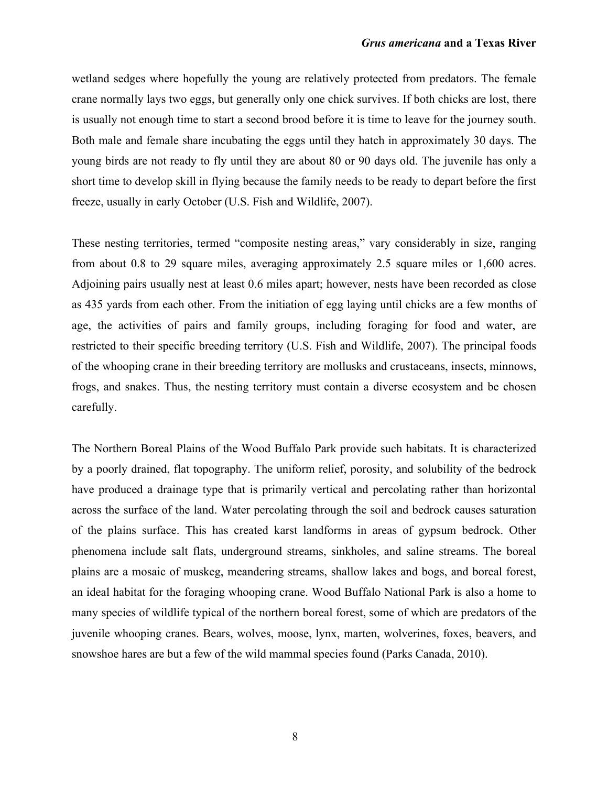wetland sedges where hopefully the young are relatively protected from predators. The female crane normally lays two eggs, but generally only one chick survives. If both chicks are lost, there is usually not enough time to start a second brood before it is time to leave for the journey south. Both male and female share incubating the eggs until they hatch in approximately 30 days. The young birds are not ready to fly until they are about 80 or 90 days old. The juvenile has only a short time to develop skill in flying because the family needs to be ready to depart before the first freeze, usually in early October (U.S. Fish and Wildlife, 2007).

These nesting territories, termed "composite nesting areas," vary considerably in size, ranging from about 0.8 to 29 square miles, averaging approximately 2.5 square miles or 1,600 acres. Adjoining pairs usually nest at least 0.6 miles apart; however, nests have been recorded as close as 435 yards from each other. From the initiation of egg laying until chicks are a few months of age, the activities of pairs and family groups, including foraging for food and water, are restricted to their specific breeding territory (U.S. Fish and Wildlife, 2007). The principal foods of the whooping crane in their breeding territory are mollusks and crustaceans, insects, minnows, frogs, and snakes. Thus, the nesting territory must contain a diverse ecosystem and be chosen carefully.

The Northern Boreal Plains of the Wood Buffalo Park provide such habitats. It is characterized by a poorly drained, flat topography. The uniform relief, porosity, and solubility of the bedrock have produced a drainage type that is primarily vertical and percolating rather than horizontal across the surface of the land. Water percolating through the soil and bedrock causes saturation of the plains surface. This has created karst landforms in areas of gypsum bedrock. Other phenomena include salt flats, underground streams, sinkholes, and saline streams. The boreal plains are a mosaic of muskeg, meandering streams, shallow lakes and bogs, and boreal forest, an ideal habitat for the foraging whooping crane. Wood Buffalo National Park is also a home to many species of wildlife typical of the northern boreal forest, some of which are predators of the juvenile whooping cranes. Bears, wolves, moose, lynx, marten, wolverines, foxes, beavers, and snowshoe hares are but a few of the wild mammal species found (Parks Canada, 2010).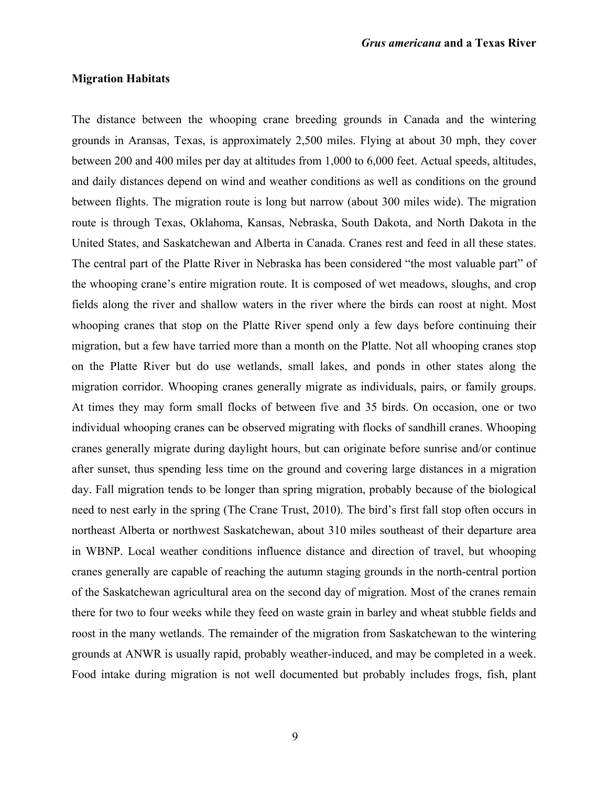## **Migration Habitats**

The distance between the whooping crane breeding grounds in Canada and the wintering grounds in Aransas, Texas, is approximately 2,500 miles. Flying at about 30 mph, they cover between 200 and 400 miles per day at altitudes from 1,000 to 6,000 feet. Actual speeds, altitudes, and daily distances depend on wind and weather conditions as well as conditions on the ground between flights. The migration route is long but narrow (about 300 miles wide). The migration route is through Texas, Oklahoma, Kansas, Nebraska, South Dakota, and North Dakota in the United States, and Saskatchewan and Alberta in Canada. Cranes rest and feed in all these states. The central part of the Platte River in Nebraska has been considered "the most valuable part" of the whooping crane's entire migration route. It is composed of wet meadows, sloughs, and crop fields along the river and shallow waters in the river where the birds can roost at night. Most whooping cranes that stop on the Platte River spend only a few days before continuing their migration, but a few have tarried more than a month on the Platte. Not all whooping cranes stop on the Platte River but do use wetlands, small lakes, and ponds in other states along the migration corridor. Whooping cranes generally migrate as individuals, pairs, or family groups. At times they may form small flocks of between five and 35 birds. On occasion, one or two individual whooping cranes can be observed migrating with flocks of sandhill cranes. Whooping cranes generally migrate during daylight hours, but can originate before sunrise and/or continue after sunset, thus spending less time on the ground and covering large distances in a migration day. Fall migration tends to be longer than spring migration, probably because of the biological need to nest early in the spring (The Crane Trust, 2010). The bird's first fall stop often occurs in northeast Alberta or northwest Saskatchewan, about 310 miles southeast of their departure area in WBNP. Local weather conditions influence distance and direction of travel, but whooping cranes generally are capable of reaching the autumn staging grounds in the north-central portion of the Saskatchewan agricultural area on the second day of migration. Most of the cranes remain there for two to four weeks while they feed on waste grain in barley and wheat stubble fields and roost in the many wetlands. The remainder of the migration from Saskatchewan to the wintering grounds at ANWR is usually rapid, probably weather-induced, and may be completed in a week. Food intake during migration is not well documented but probably includes frogs, fish, plant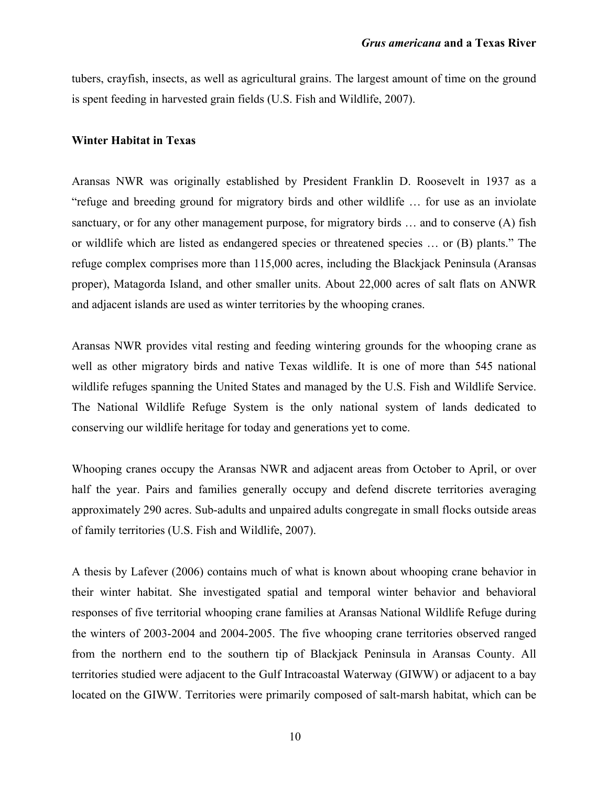tubers, crayfish, insects, as well as agricultural grains. The largest amount of time on the ground is spent feeding in harvested grain fields (U.S. Fish and Wildlife, 2007).

## **Winter Habitat in Texas**

Aransas NWR was originally established by President Franklin D. Roosevelt in 1937 as a "refuge and breeding ground for migratory birds and other wildlife … for use as an inviolate sanctuary, or for any other management purpose, for migratory birds … and to conserve (A) fish or wildlife which are listed as endangered species or threatened species … or (B) plants." The refuge complex comprises more than 115,000 acres, including the Blackjack Peninsula (Aransas proper), Matagorda Island, and other smaller units. About 22,000 acres of salt flats on ANWR and adjacent islands are used as winter territories by the whooping cranes.

Aransas NWR provides vital resting and feeding wintering grounds for the whooping crane as well as other migratory birds and native Texas wildlife. It is one of more than 545 national wildlife refuges spanning the United States and managed by the U.S. Fish and Wildlife Service. The National Wildlife Refuge System is the only national system of lands dedicated to conserving our wildlife heritage for today and generations yet to come.

Whooping cranes occupy the Aransas NWR and adjacent areas from October to April, or over half the year. Pairs and families generally occupy and defend discrete territories averaging approximately 290 acres. Sub-adults and unpaired adults congregate in small flocks outside areas of family territories (U.S. Fish and Wildlife, 2007).

A thesis by Lafever (2006) contains much of what is known about whooping crane behavior in their winter habitat. She investigated spatial and temporal winter behavior and behavioral responses of five territorial whooping crane families at Aransas National Wildlife Refuge during the winters of 2003-2004 and 2004-2005. The five whooping crane territories observed ranged from the northern end to the southern tip of Blackjack Peninsula in Aransas County. All territories studied were adjacent to the Gulf Intracoastal Waterway (GIWW) or adjacent to a bay located on the GIWW. Territories were primarily composed of salt-marsh habitat, which can be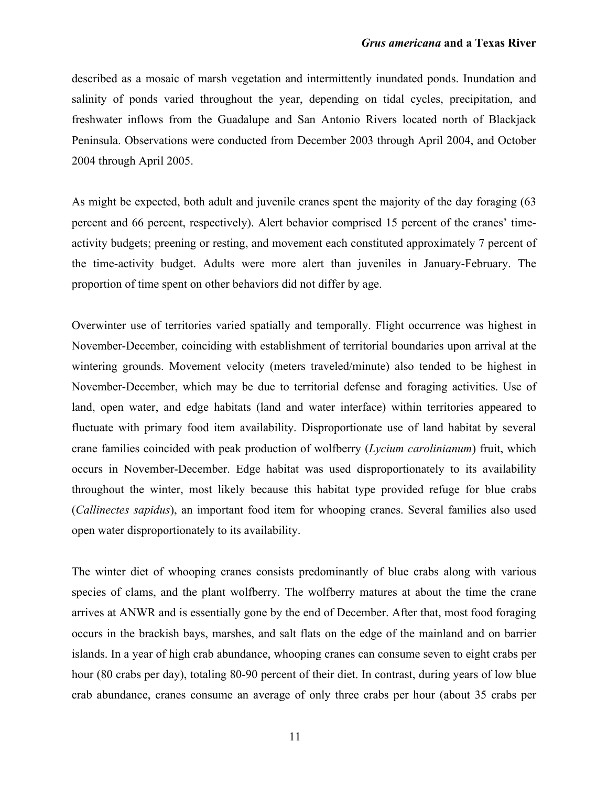described as a mosaic of marsh vegetation and intermittently inundated ponds. Inundation and salinity of ponds varied throughout the year, depending on tidal cycles, precipitation, and freshwater inflows from the Guadalupe and San Antonio Rivers located north of Blackjack Peninsula. Observations were conducted from December 2003 through April 2004, and October 2004 through April 2005.

As might be expected, both adult and juvenile cranes spent the majority of the day foraging (63 percent and 66 percent, respectively). Alert behavior comprised 15 percent of the cranes' timeactivity budgets; preening or resting, and movement each constituted approximately 7 percent of the time-activity budget. Adults were more alert than juveniles in January-February. The proportion of time spent on other behaviors did not differ by age.

Overwinter use of territories varied spatially and temporally. Flight occurrence was highest in November-December, coinciding with establishment of territorial boundaries upon arrival at the wintering grounds. Movement velocity (meters traveled/minute) also tended to be highest in November-December, which may be due to territorial defense and foraging activities. Use of land, open water, and edge habitats (land and water interface) within territories appeared to fluctuate with primary food item availability. Disproportionate use of land habitat by several crane families coincided with peak production of wolfberry (*Lycium carolinianum*) fruit, which occurs in November-December. Edge habitat was used disproportionately to its availability throughout the winter, most likely because this habitat type provided refuge for blue crabs (*Callinectes sapidus*), an important food item for whooping cranes. Several families also used open water disproportionately to its availability.

The winter diet of whooping cranes consists predominantly of blue crabs along with various species of clams, and the plant wolfberry. The wolfberry matures at about the time the crane arrives at ANWR and is essentially gone by the end of December. After that, most food foraging occurs in the brackish bays, marshes, and salt flats on the edge of the mainland and on barrier islands. In a year of high crab abundance, whooping cranes can consume seven to eight crabs per hour (80 crabs per day), totaling 80-90 percent of their diet. In contrast, during years of low blue crab abundance, cranes consume an average of only three crabs per hour (about 35 crabs per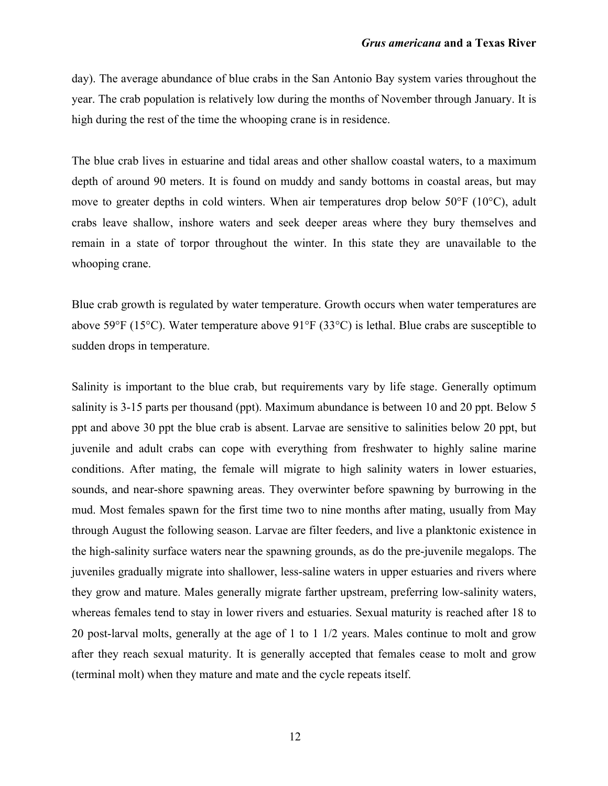day). The average abundance of blue crabs in the San Antonio Bay system varies throughout the year. The crab population is relatively low during the months of November through January. It is high during the rest of the time the whooping crane is in residence.

The blue crab lives in estuarine and tidal areas and other shallow coastal waters, to a maximum depth of around 90 meters. It is found on muddy and sandy bottoms in coastal areas, but may move to greater depths in cold winters. When air temperatures drop below 50°F (10°C), adult crabs leave shallow, inshore waters and seek deeper areas where they bury themselves and remain in a state of torpor throughout the winter. In this state they are unavailable to the whooping crane.

Blue crab growth is regulated by water temperature. Growth occurs when water temperatures are above 59°F (15°C). Water temperature above 91°F (33°C) is lethal. Blue crabs are susceptible to sudden drops in temperature.

Salinity is important to the blue crab, but requirements vary by life stage. Generally optimum salinity is 3-15 parts per thousand (ppt). Maximum abundance is between 10 and 20 ppt. Below 5 ppt and above 30 ppt the blue crab is absent. Larvae are sensitive to salinities below 20 ppt, but juvenile and adult crabs can cope with everything from freshwater to highly saline marine conditions. After mating, the female will migrate to high salinity waters in lower estuaries, sounds, and near-shore spawning areas. They overwinter before spawning by burrowing in the mud. Most females spawn for the first time two to nine months after mating, usually from May through August the following season. Larvae are filter feeders, and live a planktonic existence in the high-salinity surface waters near the spawning grounds, as do the pre-juvenile megalops. The juveniles gradually migrate into shallower, less-saline waters in upper estuaries and rivers where they grow and mature. Males generally migrate farther upstream, preferring low-salinity waters, whereas females tend to stay in lower rivers and estuaries. Sexual maturity is reached after 18 to 20 post-larval molts, generally at the age of 1 to 1 1/2 years. Males continue to molt and grow after they reach sexual maturity. It is generally accepted that females cease to molt and grow (terminal molt) when they mature and mate and the cycle repeats itself.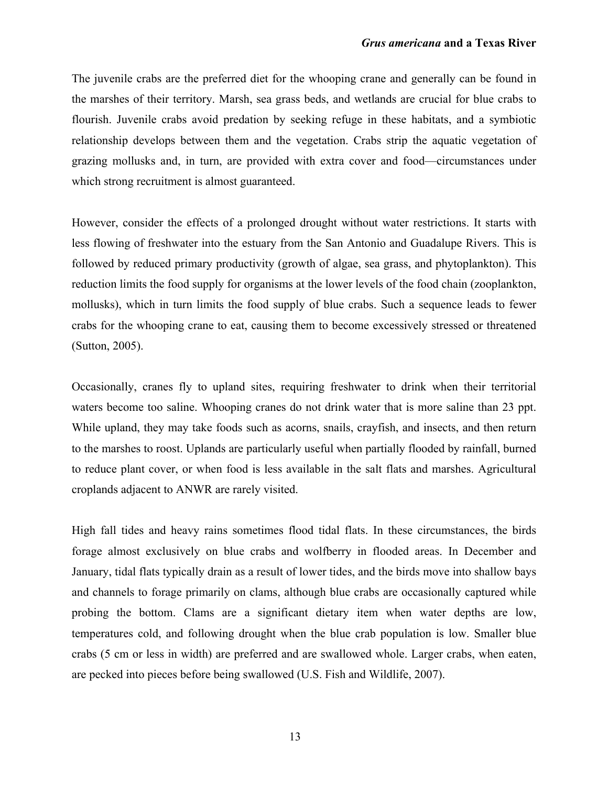The juvenile crabs are the preferred diet for the whooping crane and generally can be found in the marshes of their territory. Marsh, sea grass beds, and wetlands are crucial for blue crabs to flourish. Juvenile crabs avoid predation by seeking refuge in these habitats, and a symbiotic relationship develops between them and the vegetation. Crabs strip the aquatic vegetation of grazing mollusks and, in turn, are provided with extra cover and food—circumstances under which strong recruitment is almost guaranteed.

However, consider the effects of a prolonged drought without water restrictions. It starts with less flowing of freshwater into the estuary from the San Antonio and Guadalupe Rivers. This is followed by reduced primary productivity (growth of algae, sea grass, and phytoplankton). This reduction limits the food supply for organisms at the lower levels of the food chain (zooplankton, mollusks), which in turn limits the food supply of blue crabs. Such a sequence leads to fewer crabs for the whooping crane to eat, causing them to become excessively stressed or threatened (Sutton, 2005).

Occasionally, cranes fly to upland sites, requiring freshwater to drink when their territorial waters become too saline. Whooping cranes do not drink water that is more saline than 23 ppt. While upland, they may take foods such as acorns, snails, crayfish, and insects, and then return to the marshes to roost. Uplands are particularly useful when partially flooded by rainfall, burned to reduce plant cover, or when food is less available in the salt flats and marshes. Agricultural croplands adjacent to ANWR are rarely visited.

High fall tides and heavy rains sometimes flood tidal flats. In these circumstances, the birds forage almost exclusively on blue crabs and wolfberry in flooded areas. In December and January, tidal flats typically drain as a result of lower tides, and the birds move into shallow bays and channels to forage primarily on clams, although blue crabs are occasionally captured while probing the bottom. Clams are a significant dietary item when water depths are low, temperatures cold, and following drought when the blue crab population is low. Smaller blue crabs (5 cm or less in width) are preferred and are swallowed whole. Larger crabs, when eaten, are pecked into pieces before being swallowed (U.S. Fish and Wildlife, 2007).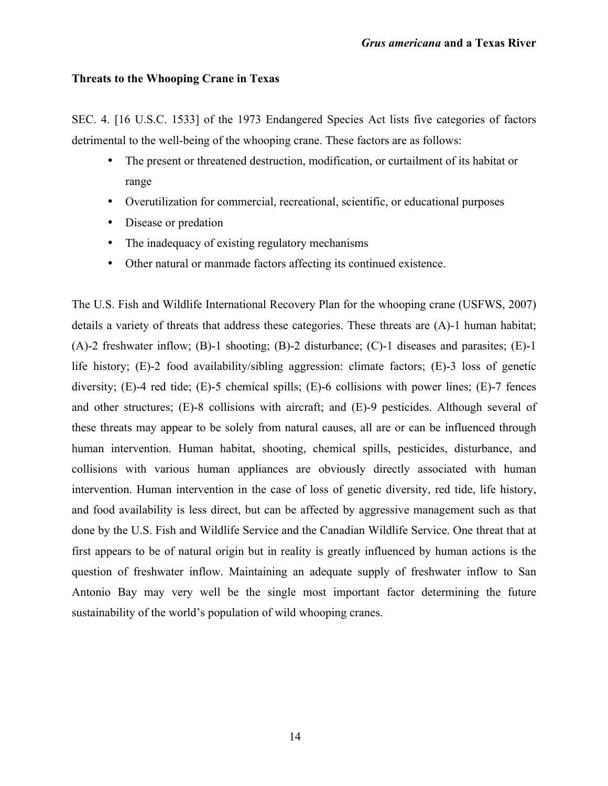# **Threats to the Whooping Crane in Texas**

SEC. 4. [16 U.S.C. 1533] of the 1973 Endangered Species Act lists five categories of factors detrimental to the well-being of the whooping crane. These factors are as follows:

- The present or threatened destruction, modification, or curtailment of its habitat or range
- Overutilization for commercial, recreational, scientific, or educational purposes
- Disease or predation
- The inadequacy of existing regulatory mechanisms
- Other natural or manmade factors affecting its continued existence.

The U.S. Fish and Wildlife International Recovery Plan for the whooping crane (USFWS, 2007) details a variety of threats that address these categories. These threats are (A)-1 human habitat; (A)-2 freshwater inflow; (B)-1 shooting; (B)-2 disturbance; (C)-1 diseases and parasites; (E)-1 life history; (E)-2 food availability/sibling aggression: climate factors; (E)-3 loss of genetic diversity; (E)-4 red tide; (E)-5 chemical spills; (E)-6 collisions with power lines; (E)-7 fences and other structures; (E)-8 collisions with aircraft; and (E)-9 pesticides. Although several of these threats may appear to be solely from natural causes, all are or can be influenced through human intervention. Human habitat, shooting, chemical spills, pesticides, disturbance, and collisions with various human appliances are obviously directly associated with human intervention. Human intervention in the case of loss of genetic diversity, red tide, life history, and food availability is less direct, but can be affected by aggressive management such as that done by the U.S. Fish and Wildlife Service and the Canadian Wildlife Service. One threat that at first appears to be of natural origin but in reality is greatly influenced by human actions is the question of freshwater inflow. Maintaining an adequate supply of freshwater inflow to San Antonio Bay may very well be the single most important factor determining the future sustainability of the world's population of wild whooping cranes.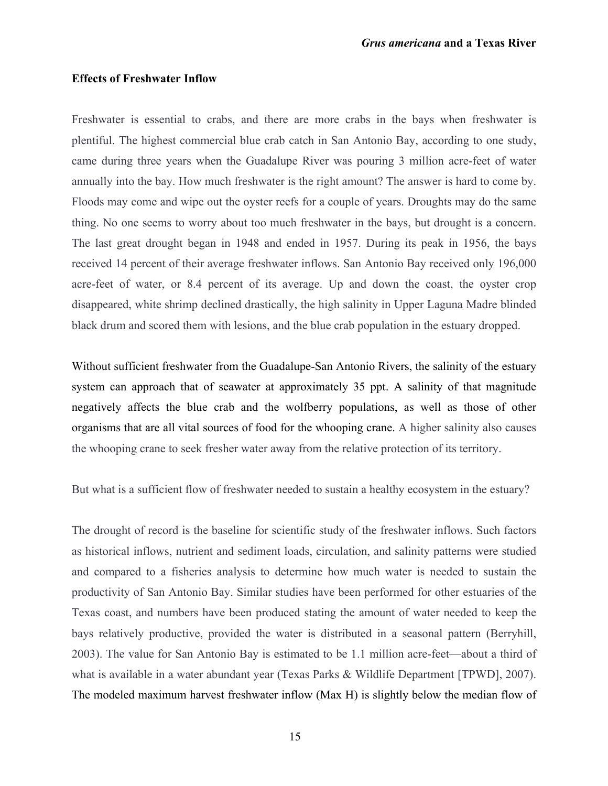## **Effects of Freshwater Inflow**

Freshwater is essential to crabs, and there are more crabs in the bays when freshwater is plentiful. The highest commercial blue crab catch in San Antonio Bay, according to one study, came during three years when the Guadalupe River was pouring 3 million acre-feet of water annually into the bay. How much freshwater is the right amount? The answer is hard to come by. Floods may come and wipe out the oyster reefs for a couple of years. Droughts may do the same thing. No one seems to worry about too much freshwater in the bays, but drought is a concern. The last great drought began in 1948 and ended in 1957. During its peak in 1956, the bays received 14 percent of their average freshwater inflows. San Antonio Bay received only 196,000 acre-feet of water, or 8.4 percent of its average. Up and down the coast, the oyster crop disappeared, white shrimp declined drastically, the high salinity in Upper Laguna Madre blinded black drum and scored them with lesions, and the blue crab population in the estuary dropped.

Without sufficient freshwater from the Guadalupe-San Antonio Rivers, the salinity of the estuary system can approach that of seawater at approximately 35 ppt. A salinity of that magnitude negatively affects the blue crab and the wolfberry populations, as well as those of other organisms that are all vital sources of food for the whooping crane. A higher salinity also causes the whooping crane to seek fresher water away from the relative protection of its territory.

But what is a sufficient flow of freshwater needed to sustain a healthy ecosystem in the estuary?

The drought of record is the baseline for scientific study of the freshwater inflows. Such factors as historical inflows, nutrient and sediment loads, circulation, and salinity patterns were studied and compared to a fisheries analysis to determine how much water is needed to sustain the productivity of San Antonio Bay. Similar studies have been performed for other estuaries of the Texas coast, and numbers have been produced stating the amount of water needed to keep the bays relatively productive, provided the water is distributed in a seasonal pattern (Berryhill, 2003). The value for San Antonio Bay is estimated to be 1.1 million acre-feet—about a third of what is available in a water abundant year (Texas Parks & Wildlife Department [TPWD], 2007). The modeled maximum harvest freshwater inflow (Max H) is slightly below the median flow of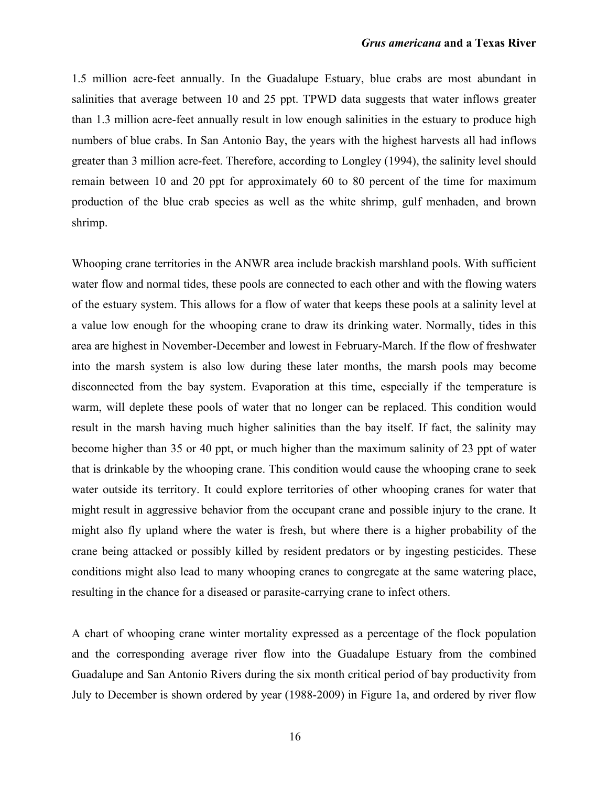1.5 million acre-feet annually. In the Guadalupe Estuary, blue crabs are most abundant in salinities that average between 10 and 25 ppt. TPWD data suggests that water inflows greater than 1.3 million acre-feet annually result in low enough salinities in the estuary to produce high numbers of blue crabs. In San Antonio Bay, the years with the highest harvests all had inflows greater than 3 million acre-feet. Therefore, according to Longley (1994), the salinity level should remain between 10 and 20 ppt for approximately 60 to 80 percent of the time for maximum production of the blue crab species as well as the white shrimp, gulf menhaden, and brown shrimp.

Whooping crane territories in the ANWR area include brackish marshland pools. With sufficient water flow and normal tides, these pools are connected to each other and with the flowing waters of the estuary system. This allows for a flow of water that keeps these pools at a salinity level at a value low enough for the whooping crane to draw its drinking water. Normally, tides in this area are highest in November-December and lowest in February-March. If the flow of freshwater into the marsh system is also low during these later months, the marsh pools may become disconnected from the bay system. Evaporation at this time, especially if the temperature is warm, will deplete these pools of water that no longer can be replaced. This condition would result in the marsh having much higher salinities than the bay itself. If fact, the salinity may become higher than 35 or 40 ppt, or much higher than the maximum salinity of 23 ppt of water that is drinkable by the whooping crane. This condition would cause the whooping crane to seek water outside its territory. It could explore territories of other whooping cranes for water that might result in aggressive behavior from the occupant crane and possible injury to the crane. It might also fly upland where the water is fresh, but where there is a higher probability of the crane being attacked or possibly killed by resident predators or by ingesting pesticides. These conditions might also lead to many whooping cranes to congregate at the same watering place, resulting in the chance for a diseased or parasite-carrying crane to infect others.

A chart of whooping crane winter mortality expressed as a percentage of the flock population and the corresponding average river flow into the Guadalupe Estuary from the combined Guadalupe and San Antonio Rivers during the six month critical period of bay productivity from July to December is shown ordered by year (1988-2009) in Figure 1a, and ordered by river flow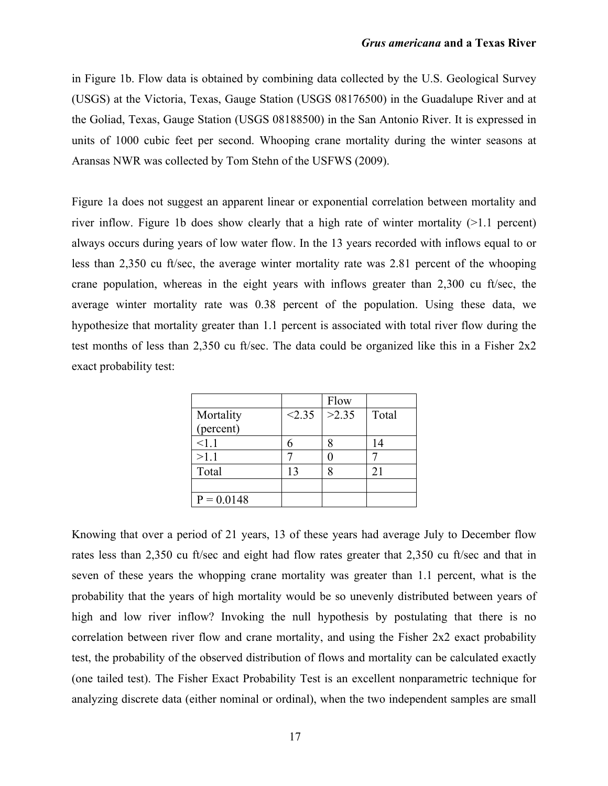in Figure 1b. Flow data is obtained by combining data collected by the U.S. Geological Survey (USGS) at the Victoria, Texas, Gauge Station (USGS 08176500) in the Guadalupe River and at the Goliad, Texas, Gauge Station (USGS 08188500) in the San Antonio River. It is expressed in units of 1000 cubic feet per second. Whooping crane mortality during the winter seasons at Aransas NWR was collected by Tom Stehn of the USFWS (2009).

Figure 1a does not suggest an apparent linear or exponential correlation between mortality and river inflow. Figure 1b does show clearly that a high rate of winter mortality (>1.1 percent) always occurs during years of low water flow. In the 13 years recorded with inflows equal to or less than 2,350 cu ft/sec, the average winter mortality rate was 2.81 percent of the whooping crane population, whereas in the eight years with inflows greater than 2,300 cu ft/sec, the average winter mortality rate was 0.38 percent of the population. Using these data, we hypothesize that mortality greater than 1.1 percent is associated with total river flow during the test months of less than 2,350 cu ft/sec. The data could be organized like this in a Fisher 2x2 exact probability test:

|              |        | Flow  |       |
|--------------|--------|-------|-------|
| Mortality    | < 2.35 | >2.35 | Total |
| (percent)    |        |       |       |
| 1.1          |        |       | 14    |
| >1.1         |        |       |       |
| Total        | 13     |       | 21    |
|              |        |       |       |
| $P = 0.0148$ |        |       |       |

Knowing that over a period of 21 years, 13 of these years had average July to December flow rates less than 2,350 cu ft/sec and eight had flow rates greater that 2,350 cu ft/sec and that in seven of these years the whopping crane mortality was greater than 1.1 percent, what is the probability that the years of high mortality would be so unevenly distributed between years of high and low river inflow? Invoking the null hypothesis by postulating that there is no correlation between river flow and crane mortality, and using the Fisher 2x2 exact probability test, the probability of the observed distribution of flows and mortality can be calculated exactly (one tailed test). The Fisher Exact Probability Test is an excellent nonparametric technique for analyzing discrete data (either nominal or ordinal), when the two independent samples are small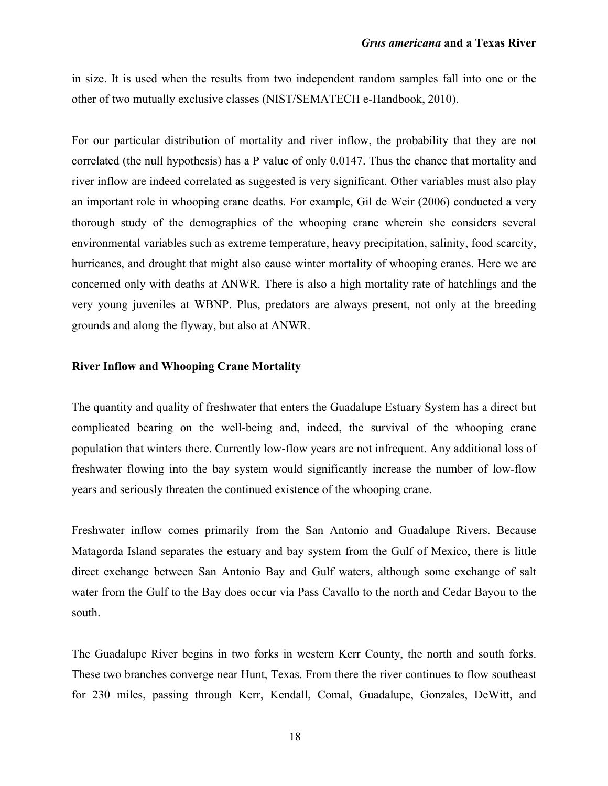in size. It is used when the results from two independent random samples fall into one or the other of two mutually exclusive classes (NIST/SEMATECH e-Handbook, 2010).

For our particular distribution of mortality and river inflow, the probability that they are not correlated (the null hypothesis) has a P value of only 0.0147. Thus the chance that mortality and river inflow are indeed correlated as suggested is very significant. Other variables must also play an important role in whooping crane deaths. For example, Gil de Weir (2006) conducted a very thorough study of the demographics of the whooping crane wherein she considers several environmental variables such as extreme temperature, heavy precipitation, salinity, food scarcity, hurricanes, and drought that might also cause winter mortality of whooping cranes. Here we are concerned only with deaths at ANWR. There is also a high mortality rate of hatchlings and the very young juveniles at WBNP. Plus, predators are always present, not only at the breeding grounds and along the flyway, but also at ANWR.

## **River Inflow and Whooping Crane Mortality**

The quantity and quality of freshwater that enters the Guadalupe Estuary System has a direct but complicated bearing on the well-being and, indeed, the survival of the whooping crane population that winters there. Currently low-flow years are not infrequent. Any additional loss of freshwater flowing into the bay system would significantly increase the number of low-flow years and seriously threaten the continued existence of the whooping crane.

Freshwater inflow comes primarily from the San Antonio and Guadalupe Rivers. Because Matagorda Island separates the estuary and bay system from the Gulf of Mexico, there is little direct exchange between San Antonio Bay and Gulf waters, although some exchange of salt water from the Gulf to the Bay does occur via Pass Cavallo to the north and Cedar Bayou to the south.

The Guadalupe River begins in two forks in western Kerr County, the north and south forks. These two branches converge near Hunt, Texas. From there the river continues to flow southeast for 230 miles, passing through Kerr, Kendall, Comal, Guadalupe, Gonzales, DeWitt, and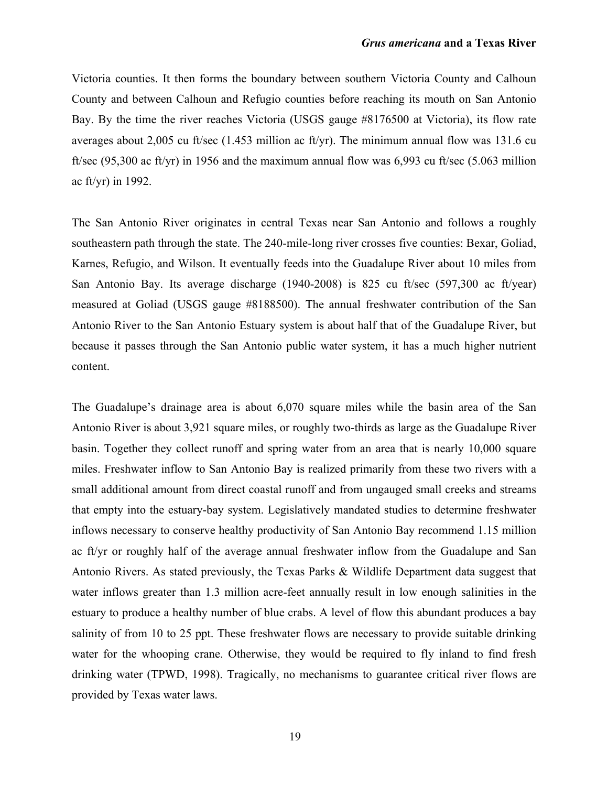Victoria counties. It then forms the boundary between southern Victoria County and Calhoun County and between Calhoun and Refugio counties before reaching its mouth on San Antonio Bay. By the time the river reaches Victoria (USGS gauge #8176500 at Victoria), its flow rate averages about 2,005 cu ft/sec (1.453 million ac ft/yr). The minimum annual flow was 131.6 cu ft/sec (95,300 ac ft/yr) in 1956 and the maximum annual flow was 6,993 cu ft/sec (5.063 million ac ft/yr) in 1992.

The San Antonio River originates in central Texas near San Antonio and follows a roughly southeastern path through the state. The 240-mile-long river crosses five counties: Bexar, Goliad, Karnes, Refugio, and Wilson. It eventually feeds into the Guadalupe River about 10 miles from San Antonio Bay. Its average discharge (1940-2008) is 825 cu ft/sec (597,300 ac ft/year) measured at Goliad (USGS gauge #8188500). The annual freshwater contribution of the San Antonio River to the San Antonio Estuary system is about half that of the Guadalupe River, but because it passes through the San Antonio public water system, it has a much higher nutrient content.

The Guadalupe's drainage area is about 6,070 square miles while the basin area of the San Antonio River is about 3,921 square miles, or roughly two-thirds as large as the Guadalupe River basin. Together they collect runoff and spring water from an area that is nearly 10,000 square miles. Freshwater inflow to San Antonio Bay is realized primarily from these two rivers with a small additional amount from direct coastal runoff and from ungauged small creeks and streams that empty into the estuary-bay system. Legislatively mandated studies to determine freshwater inflows necessary to conserve healthy productivity of San Antonio Bay recommend 1.15 million ac ft/yr or roughly half of the average annual freshwater inflow from the Guadalupe and San Antonio Rivers. As stated previously, the Texas Parks & Wildlife Department data suggest that water inflows greater than 1.3 million acre-feet annually result in low enough salinities in the estuary to produce a healthy number of blue crabs. A level of flow this abundant produces a bay salinity of from 10 to 25 ppt. These freshwater flows are necessary to provide suitable drinking water for the whooping crane. Otherwise, they would be required to fly inland to find fresh drinking water (TPWD, 1998). Tragically, no mechanisms to guarantee critical river flows are provided by Texas water laws.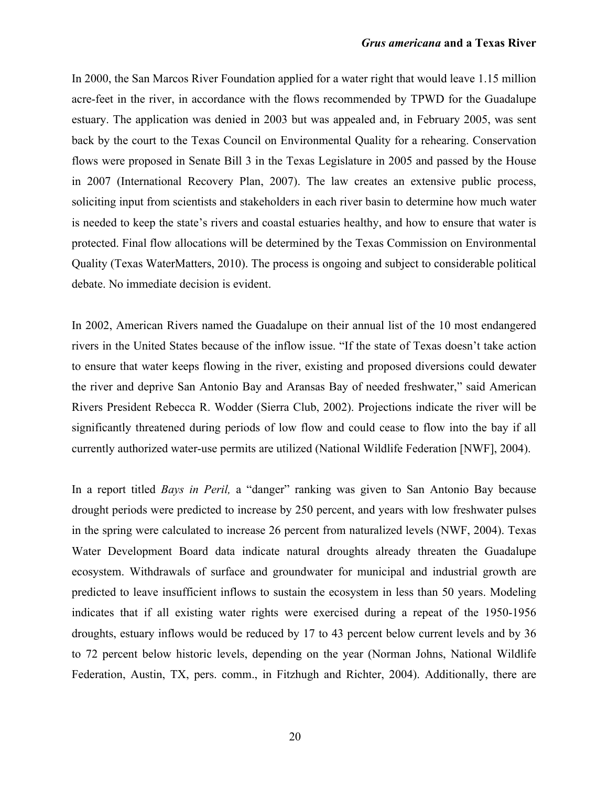In 2000, the San Marcos River Foundation applied for a water right that would leave 1.15 million acre-feet in the river, in accordance with the flows recommended by TPWD for the Guadalupe estuary. The application was denied in 2003 but was appealed and, in February 2005, was sent back by the court to the Texas Council on Environmental Quality for a rehearing. Conservation flows were proposed in Senate Bill 3 in the Texas Legislature in 2005 and passed by the House in 2007 (International Recovery Plan, 2007). The law creates an extensive public process, soliciting input from scientists and stakeholders in each river basin to determine how much water is needed to keep the state's rivers and coastal estuaries healthy, and how to ensure that water is protected. Final flow allocations will be determined by the Texas Commission on Environmental Quality (Texas WaterMatters, 2010). The process is ongoing and subject to considerable political debate. No immediate decision is evident.

In 2002, American Rivers named the Guadalupe on their annual list of the 10 most endangered rivers in the United States because of the inflow issue. "If the state of Texas doesn't take action to ensure that water keeps flowing in the river, existing and proposed diversions could dewater the river and deprive San Antonio Bay and Aransas Bay of needed freshwater," said American Rivers President Rebecca R. Wodder (Sierra Club, 2002). Projections indicate the river will be significantly threatened during periods of low flow and could cease to flow into the bay if all currently authorized water-use permits are utilized (National Wildlife Federation [NWF], 2004).

In a report titled *Bays in Peril,* a "danger" ranking was given to San Antonio Bay because drought periods were predicted to increase by 250 percent, and years with low freshwater pulses in the spring were calculated to increase 26 percent from naturalized levels (NWF, 2004). Texas Water Development Board data indicate natural droughts already threaten the Guadalupe ecosystem. Withdrawals of surface and groundwater for municipal and industrial growth are predicted to leave insufficient inflows to sustain the ecosystem in less than 50 years. Modeling indicates that if all existing water rights were exercised during a repeat of the 1950-1956 droughts, estuary inflows would be reduced by 17 to 43 percent below current levels and by 36 to 72 percent below historic levels, depending on the year (Norman Johns, National Wildlife Federation, Austin, TX, pers. comm., in Fitzhugh and Richter, 2004). Additionally, there are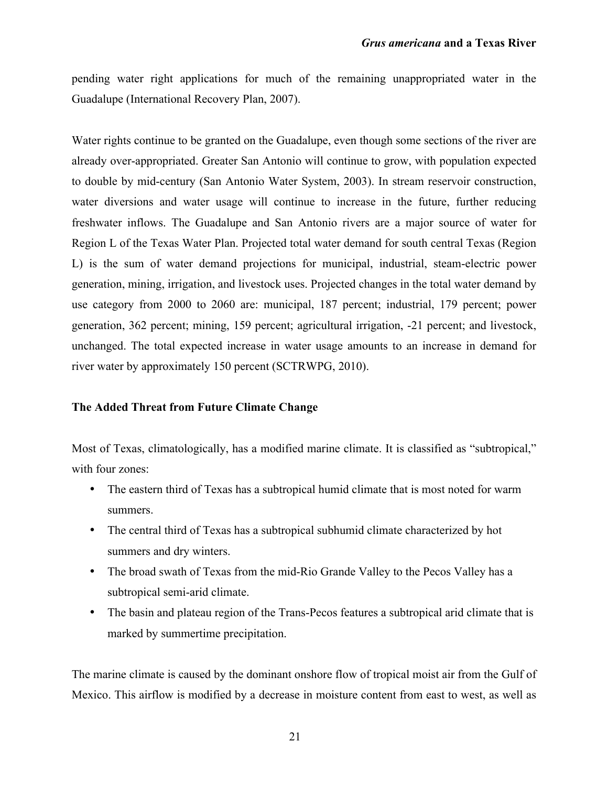pending water right applications for much of the remaining unappropriated water in the Guadalupe (International Recovery Plan, 2007).

Water rights continue to be granted on the Guadalupe, even though some sections of the river are already over-appropriated. Greater San Antonio will continue to grow, with population expected to double by mid-century (San Antonio Water System, 2003). In stream reservoir construction, water diversions and water usage will continue to increase in the future, further reducing freshwater inflows. The Guadalupe and San Antonio rivers are a major source of water for Region L of the Texas Water Plan. Projected total water demand for south central Texas (Region L) is the sum of water demand projections for municipal, industrial, steam-electric power generation, mining, irrigation, and livestock uses. Projected changes in the total water demand by use category from 2000 to 2060 are: municipal, 187 percent; industrial, 179 percent; power generation, 362 percent; mining, 159 percent; agricultural irrigation, -21 percent; and livestock, unchanged. The total expected increase in water usage amounts to an increase in demand for river water by approximately 150 percent (SCTRWPG, 2010).

## **The Added Threat from Future Climate Change**

Most of Texas, climatologically, has a modified marine climate. It is classified as "subtropical," with four zones:

- The eastern third of Texas has a subtropical humid climate that is most noted for warm summers.
- The central third of Texas has a subtropical subhumid climate characterized by hot summers and dry winters.
- The broad swath of Texas from the mid-Rio Grande Valley to the Pecos Valley has a subtropical semi-arid climate.
- The basin and plateau region of the Trans-Pecos features a subtropical arid climate that is marked by summertime precipitation.

The marine climate is caused by the dominant onshore flow of tropical moist air from the Gulf of Mexico. This airflow is modified by a decrease in moisture content from east to west, as well as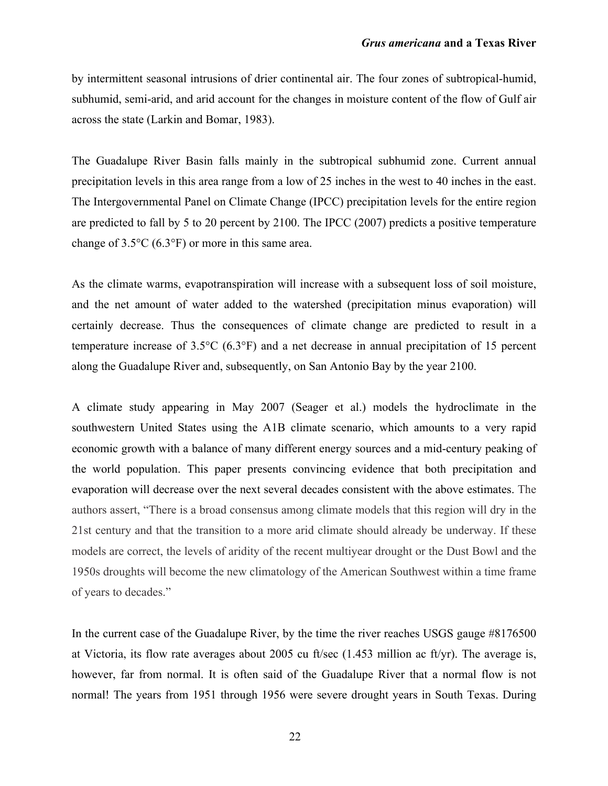by intermittent seasonal intrusions of drier continental air. The four zones of subtropical-humid, subhumid, semi-arid, and arid account for the changes in moisture content of the flow of Gulf air across the state (Larkin and Bomar, 1983).

The Guadalupe River Basin falls mainly in the subtropical subhumid zone. Current annual precipitation levels in this area range from a low of 25 inches in the west to 40 inches in the east. The Intergovernmental Panel on Climate Change (IPCC) precipitation levels for the entire region are predicted to fall by 5 to 20 percent by 2100. The IPCC (2007) predicts a positive temperature change of 3.5°C (6.3°F) or more in this same area.

As the climate warms, evapotranspiration will increase with a subsequent loss of soil moisture, and the net amount of water added to the watershed (precipitation minus evaporation) will certainly decrease. Thus the consequences of climate change are predicted to result in a temperature increase of 3.5°C (6.3°F) and a net decrease in annual precipitation of 15 percent along the Guadalupe River and, subsequently, on San Antonio Bay by the year 2100.

A climate study appearing in May 2007 (Seager et al.) models the hydroclimate in the southwestern United States using the A1B climate scenario, which amounts to a very rapid economic growth with a balance of many different energy sources and a mid-century peaking of the world population. This paper presents convincing evidence that both precipitation and evaporation will decrease over the next several decades consistent with the above estimates. The authors assert, "There is a broad consensus among climate models that this region will dry in the 21st century and that the transition to a more arid climate should already be underway. If these models are correct, the levels of aridity of the recent multiyear drought or the Dust Bowl and the 1950s droughts will become the new climatology of the American Southwest within a time frame of years to decades."

In the current case of the Guadalupe River, by the time the river reaches USGS gauge #8176500 at Victoria, its flow rate averages about 2005 cu ft/sec (1.453 million ac ft/yr). The average is, however, far from normal. It is often said of the Guadalupe River that a normal flow is not normal! The years from 1951 through 1956 were severe drought years in South Texas. During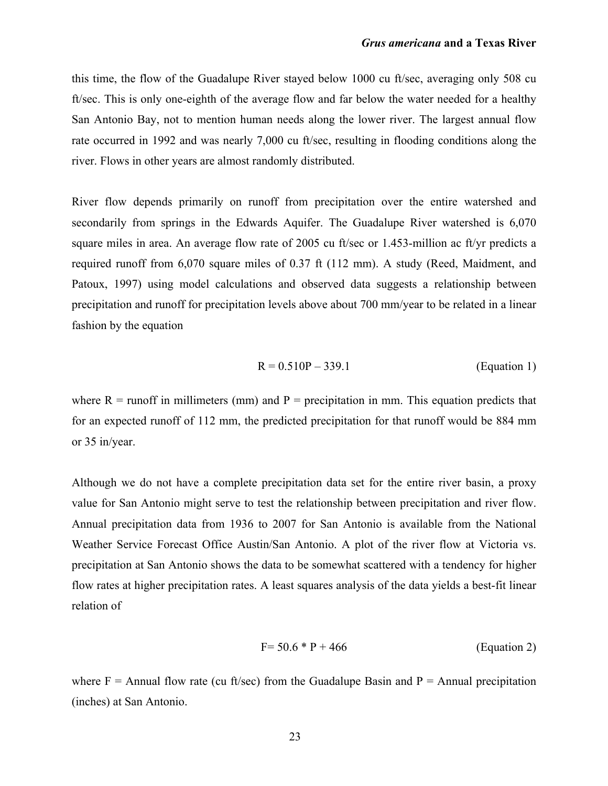this time, the flow of the Guadalupe River stayed below 1000 cu ft/sec, averaging only 508 cu ft/sec. This is only one-eighth of the average flow and far below the water needed for a healthy San Antonio Bay, not to mention human needs along the lower river. The largest annual flow rate occurred in 1992 and was nearly 7,000 cu ft/sec, resulting in flooding conditions along the river. Flows in other years are almost randomly distributed.

River flow depends primarily on runoff from precipitation over the entire watershed and secondarily from springs in the Edwards Aquifer. The Guadalupe River watershed is 6,070 square miles in area. An average flow rate of 2005 cu ft/sec or 1.453-million ac ft/yr predicts a required runoff from 6,070 square miles of 0.37 ft (112 mm). A study (Reed, Maidment, and Patoux, 1997) using model calculations and observed data suggests a relationship between precipitation and runoff for precipitation levels above about 700 mm/year to be related in a linear fashion by the equation

$$
R = 0.510P - 339.1
$$
 (Equation 1)

where  $R =$  runoff in millimeters (mm) and  $P =$  precipitation in mm. This equation predicts that for an expected runoff of 112 mm, the predicted precipitation for that runoff would be 884 mm or 35 in/year.

Although we do not have a complete precipitation data set for the entire river basin, a proxy value for San Antonio might serve to test the relationship between precipitation and river flow. Annual precipitation data from 1936 to 2007 for San Antonio is available from the National Weather Service Forecast Office Austin/San Antonio. A plot of the river flow at Victoria vs. precipitation at San Antonio shows the data to be somewhat scattered with a tendency for higher flow rates at higher precipitation rates. A least squares analysis of the data yields a best-fit linear relation of

$$
F = 50.6 * P + 466
$$
 (Equation 2)

where  $F =$  Annual flow rate (cu ft/sec) from the Guadalupe Basin and  $P =$  Annual precipitation (inches) at San Antonio.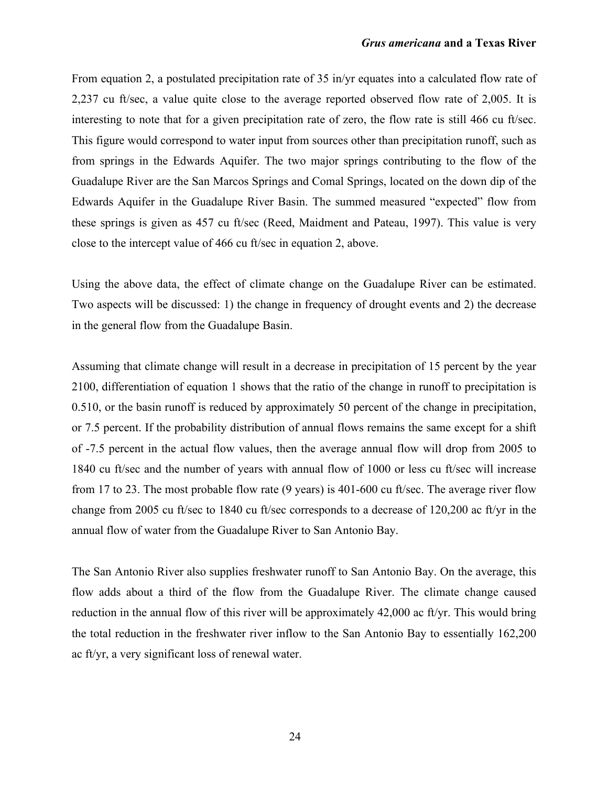From equation 2, a postulated precipitation rate of 35 in/yr equates into a calculated flow rate of 2,237 cu ft/sec, a value quite close to the average reported observed flow rate of 2,005. It is interesting to note that for a given precipitation rate of zero, the flow rate is still 466 cu ft/sec. This figure would correspond to water input from sources other than precipitation runoff, such as from springs in the Edwards Aquifer. The two major springs contributing to the flow of the Guadalupe River are the San Marcos Springs and Comal Springs, located on the down dip of the Edwards Aquifer in the Guadalupe River Basin. The summed measured "expected" flow from these springs is given as 457 cu ft/sec (Reed, Maidment and Pateau, 1997). This value is very close to the intercept value of 466 cu ft/sec in equation 2, above.

Using the above data, the effect of climate change on the Guadalupe River can be estimated. Two aspects will be discussed: 1) the change in frequency of drought events and 2) the decrease in the general flow from the Guadalupe Basin.

Assuming that climate change will result in a decrease in precipitation of 15 percent by the year 2100, differentiation of equation 1 shows that the ratio of the change in runoff to precipitation is 0.510, or the basin runoff is reduced by approximately 50 percent of the change in precipitation, or 7.5 percent. If the probability distribution of annual flows remains the same except for a shift of -7.5 percent in the actual flow values, then the average annual flow will drop from 2005 to 1840 cu ft/sec and the number of years with annual flow of 1000 or less cu ft/sec will increase from 17 to 23. The most probable flow rate (9 years) is 401-600 cu ft/sec. The average river flow change from 2005 cu ft/sec to 1840 cu ft/sec corresponds to a decrease of 120,200 ac ft/yr in the annual flow of water from the Guadalupe River to San Antonio Bay.

The San Antonio River also supplies freshwater runoff to San Antonio Bay. On the average, this flow adds about a third of the flow from the Guadalupe River. The climate change caused reduction in the annual flow of this river will be approximately 42,000 ac ft/yr. This would bring the total reduction in the freshwater river inflow to the San Antonio Bay to essentially 162,200 ac ft/yr, a very significant loss of renewal water.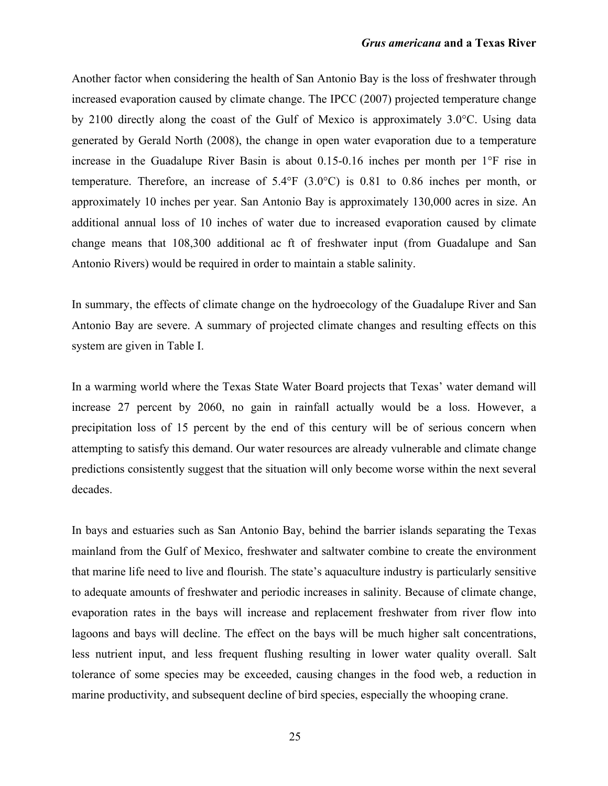Another factor when considering the health of San Antonio Bay is the loss of freshwater through increased evaporation caused by climate change. The IPCC (2007) projected temperature change by 2100 directly along the coast of the Gulf of Mexico is approximately 3.0°C. Using data generated by Gerald North (2008), the change in open water evaporation due to a temperature increase in the Guadalupe River Basin is about 0.15-0.16 inches per month per 1°F rise in temperature. Therefore, an increase of 5.4°F (3.0°C) is 0.81 to 0.86 inches per month, or approximately 10 inches per year. San Antonio Bay is approximately 130,000 acres in size. An additional annual loss of 10 inches of water due to increased evaporation caused by climate change means that 108,300 additional ac ft of freshwater input (from Guadalupe and San Antonio Rivers) would be required in order to maintain a stable salinity.

In summary, the effects of climate change on the hydroecology of the Guadalupe River and San Antonio Bay are severe. A summary of projected climate changes and resulting effects on this system are given in Table I.

In a warming world where the Texas State Water Board projects that Texas' water demand will increase 27 percent by 2060, no gain in rainfall actually would be a loss. However, a precipitation loss of 15 percent by the end of this century will be of serious concern when attempting to satisfy this demand. Our water resources are already vulnerable and climate change predictions consistently suggest that the situation will only become worse within the next several decades.

In bays and estuaries such as San Antonio Bay, behind the barrier islands separating the Texas mainland from the Gulf of Mexico, freshwater and saltwater combine to create the environment that marine life need to live and flourish. The state's aquaculture industry is particularly sensitive to adequate amounts of freshwater and periodic increases in salinity. Because of climate change, evaporation rates in the bays will increase and replacement freshwater from river flow into lagoons and bays will decline. The effect on the bays will be much higher salt concentrations, less nutrient input, and less frequent flushing resulting in lower water quality overall. Salt tolerance of some species may be exceeded, causing changes in the food web, a reduction in marine productivity, and subsequent decline of bird species, especially the whooping crane.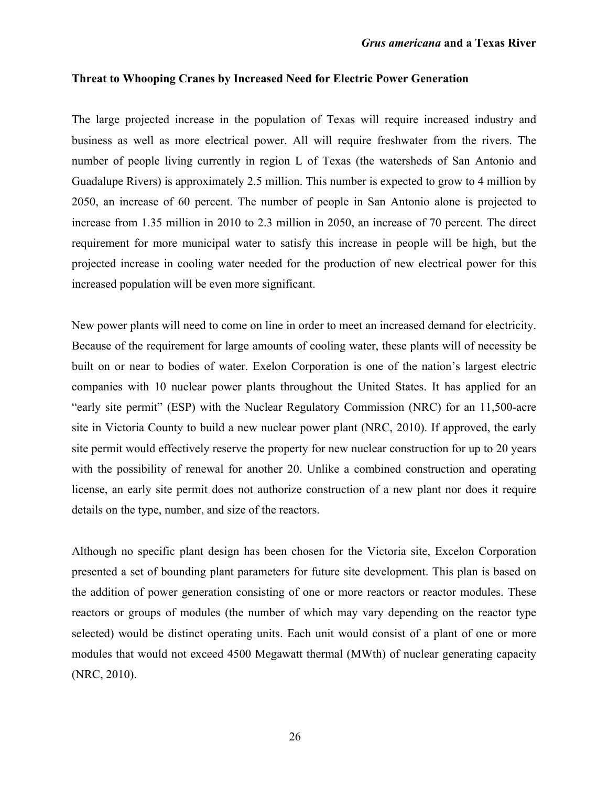## **Threat to Whooping Cranes by Increased Need for Electric Power Generation**

The large projected increase in the population of Texas will require increased industry and business as well as more electrical power. All will require freshwater from the rivers. The number of people living currently in region L of Texas (the watersheds of San Antonio and Guadalupe Rivers) is approximately 2.5 million. This number is expected to grow to 4 million by 2050, an increase of 60 percent. The number of people in San Antonio alone is projected to increase from 1.35 million in 2010 to 2.3 million in 2050, an increase of 70 percent. The direct requirement for more municipal water to satisfy this increase in people will be high, but the projected increase in cooling water needed for the production of new electrical power for this increased population will be even more significant.

New power plants will need to come on line in order to meet an increased demand for electricity. Because of the requirement for large amounts of cooling water, these plants will of necessity be built on or near to bodies of water. Exelon Corporation is one of the nation's largest electric companies with 10 nuclear power plants throughout the United States. It has applied for an "early site permit" (ESP) with the Nuclear Regulatory Commission (NRC) for an 11,500-acre site in Victoria County to build a new nuclear power plant (NRC, 2010). If approved, the early site permit would effectively reserve the property for new nuclear construction for up to 20 years with the possibility of renewal for another 20. Unlike a combined construction and operating license, an early site permit does not authorize construction of a new plant nor does it require details on the type, number, and size of the reactors.

Although no specific plant design has been chosen for the Victoria site, Excelon Corporation presented a set of bounding plant parameters for future site development. This plan is based on the addition of power generation consisting of one or more reactors or reactor modules. These reactors or groups of modules (the number of which may vary depending on the reactor type selected) would be distinct operating units. Each unit would consist of a plant of one or more modules that would not exceed 4500 Megawatt thermal (MWth) of nuclear generating capacity (NRC, 2010).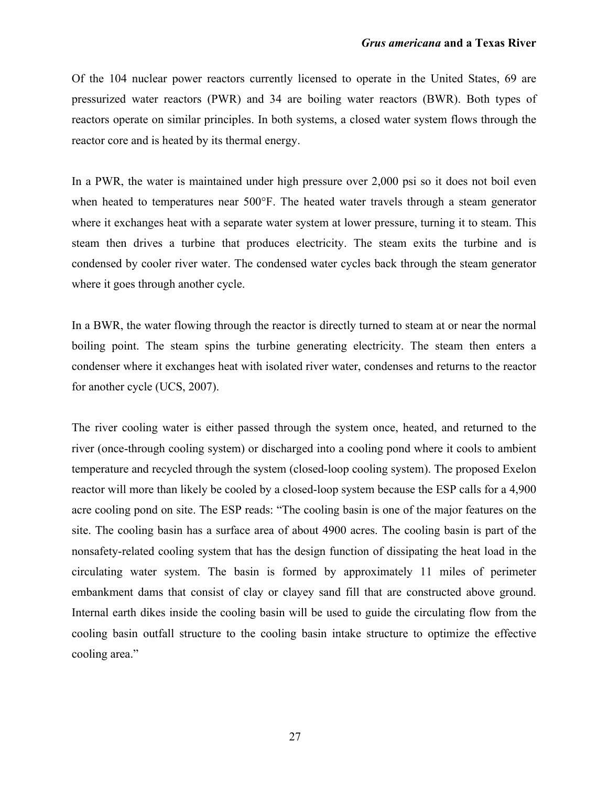Of the 104 nuclear power reactors currently licensed to operate in the United States, 69 are pressurized water reactors (PWR) and 34 are boiling water reactors (BWR). Both types of reactors operate on similar principles. In both systems, a closed water system flows through the reactor core and is heated by its thermal energy.

In a PWR, the water is maintained under high pressure over 2,000 psi so it does not boil even when heated to temperatures near 500°F. The heated water travels through a steam generator where it exchanges heat with a separate water system at lower pressure, turning it to steam. This steam then drives a turbine that produces electricity. The steam exits the turbine and is condensed by cooler river water. The condensed water cycles back through the steam generator where it goes through another cycle.

In a BWR, the water flowing through the reactor is directly turned to steam at or near the normal boiling point. The steam spins the turbine generating electricity. The steam then enters a condenser where it exchanges heat with isolated river water, condenses and returns to the reactor for another cycle (UCS, 2007).

The river cooling water is either passed through the system once, heated, and returned to the river (once-through cooling system) or discharged into a cooling pond where it cools to ambient temperature and recycled through the system (closed-loop cooling system). The proposed Exelon reactor will more than likely be cooled by a closed-loop system because the ESP calls for a 4,900 acre cooling pond on site. The ESP reads: "The cooling basin is one of the major features on the site. The cooling basin has a surface area of about 4900 acres. The cooling basin is part of the nonsafety-related cooling system that has the design function of dissipating the heat load in the circulating water system. The basin is formed by approximately 11 miles of perimeter embankment dams that consist of clay or clayey sand fill that are constructed above ground. Internal earth dikes inside the cooling basin will be used to guide the circulating flow from the cooling basin outfall structure to the cooling basin intake structure to optimize the effective cooling area."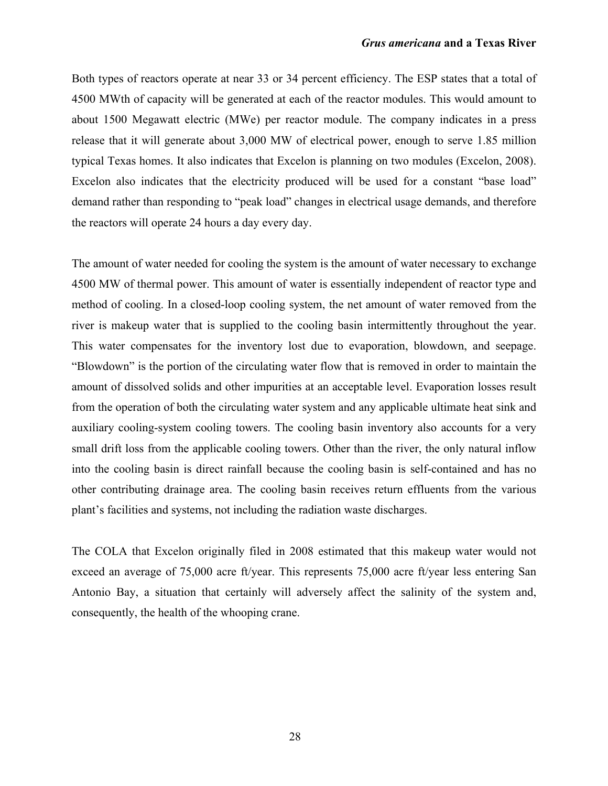Both types of reactors operate at near 33 or 34 percent efficiency. The ESP states that a total of 4500 MWth of capacity will be generated at each of the reactor modules. This would amount to about 1500 Megawatt electric (MWe) per reactor module. The company indicates in a press release that it will generate about 3,000 MW of electrical power, enough to serve 1.85 million typical Texas homes. It also indicates that Excelon is planning on two modules (Excelon, 2008). Excelon also indicates that the electricity produced will be used for a constant "base load" demand rather than responding to "peak load" changes in electrical usage demands, and therefore the reactors will operate 24 hours a day every day.

The amount of water needed for cooling the system is the amount of water necessary to exchange 4500 MW of thermal power. This amount of water is essentially independent of reactor type and method of cooling. In a closed-loop cooling system, the net amount of water removed from the river is makeup water that is supplied to the cooling basin intermittently throughout the year. This water compensates for the inventory lost due to evaporation, blowdown, and seepage. "Blowdown" is the portion of the circulating water flow that is removed in order to maintain the amount of dissolved solids and other impurities at an acceptable level. Evaporation losses result from the operation of both the circulating water system and any applicable ultimate heat sink and auxiliary cooling-system cooling towers. The cooling basin inventory also accounts for a very small drift loss from the applicable cooling towers. Other than the river, the only natural inflow into the cooling basin is direct rainfall because the cooling basin is self-contained and has no other contributing drainage area. The cooling basin receives return effluents from the various plant's facilities and systems, not including the radiation waste discharges.

The COLA that Excelon originally filed in 2008 estimated that this makeup water would not exceed an average of 75,000 acre ft/year. This represents 75,000 acre ft/year less entering San Antonio Bay, a situation that certainly will adversely affect the salinity of the system and, consequently, the health of the whooping crane.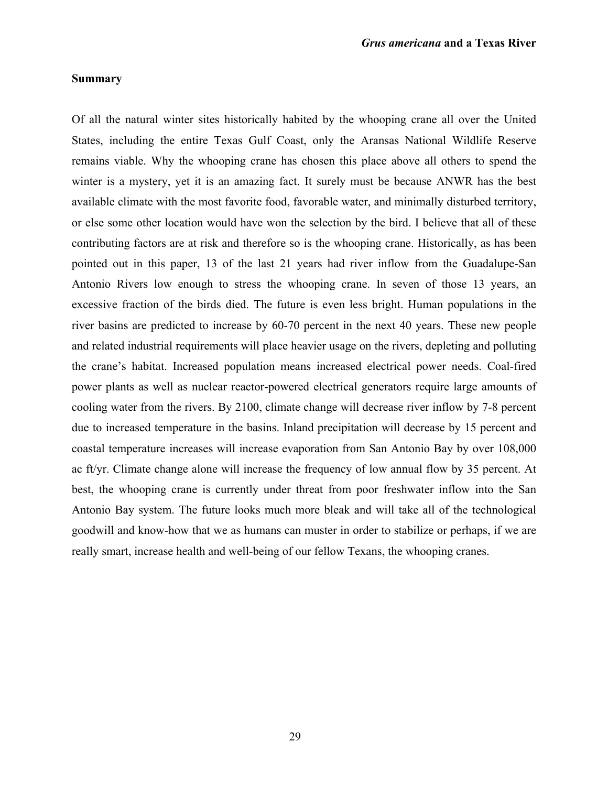## **Summary**

Of all the natural winter sites historically habited by the whooping crane all over the United States, including the entire Texas Gulf Coast, only the Aransas National Wildlife Reserve remains viable. Why the whooping crane has chosen this place above all others to spend the winter is a mystery, yet it is an amazing fact. It surely must be because ANWR has the best available climate with the most favorite food, favorable water, and minimally disturbed territory, or else some other location would have won the selection by the bird. I believe that all of these contributing factors are at risk and therefore so is the whooping crane. Historically, as has been pointed out in this paper, 13 of the last 21 years had river inflow from the Guadalupe-San Antonio Rivers low enough to stress the whooping crane. In seven of those 13 years, an excessive fraction of the birds died. The future is even less bright. Human populations in the river basins are predicted to increase by 60-70 percent in the next 40 years. These new people and related industrial requirements will place heavier usage on the rivers, depleting and polluting the crane's habitat. Increased population means increased electrical power needs. Coal-fired power plants as well as nuclear reactor-powered electrical generators require large amounts of cooling water from the rivers. By 2100, climate change will decrease river inflow by 7-8 percent due to increased temperature in the basins. Inland precipitation will decrease by 15 percent and coastal temperature increases will increase evaporation from San Antonio Bay by over 108,000 ac ft/yr. Climate change alone will increase the frequency of low annual flow by 35 percent. At best, the whooping crane is currently under threat from poor freshwater inflow into the San Antonio Bay system. The future looks much more bleak and will take all of the technological goodwill and know-how that we as humans can muster in order to stabilize or perhaps, if we are really smart, increase health and well-being of our fellow Texans, the whooping cranes.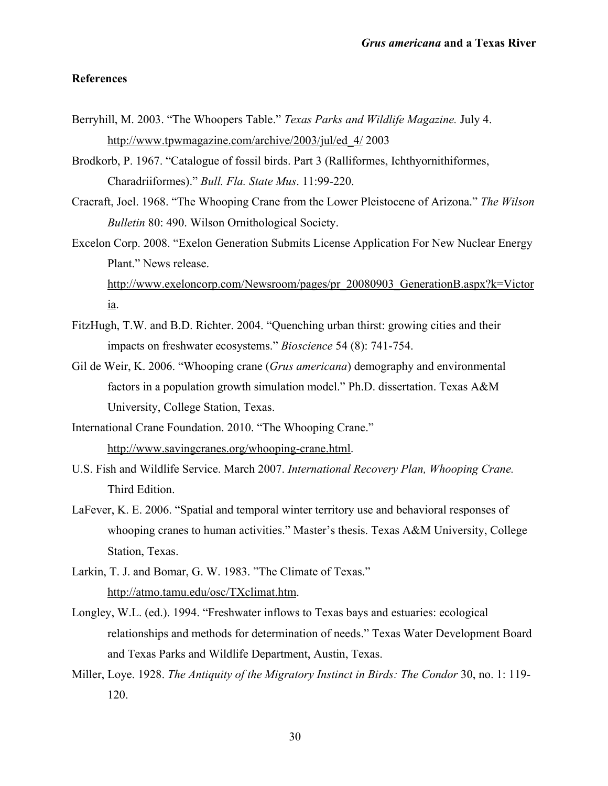## **References**

- Berryhill, M. 2003. "The Whoopers Table." *Texas Parks and Wildlife Magazine.* July 4. http://www.tpwmagazine.com/archive/2003/jul/ed\_4/ 2003
- Brodkorb, P. 1967. "Catalogue of fossil birds. Part 3 (Ralliformes, Ichthyornithiformes, Charadriiformes)." *Bull. Fla. State Mus*. 11:99-220.
- Cracraft, Joel. 1968. "The Whooping Crane from the Lower Pleistocene of Arizona." *The Wilson Bulletin* 80: 490. Wilson Ornithological Society.
- Excelon Corp. 2008. "Exelon Generation Submits License Application For New Nuclear Energy Plant." News release.

http://www.exeloncorp.com/Newsroom/pages/pr\_20080903\_GenerationB.aspx?k=Victor ia.

- FitzHugh, T.W. and B.D. Richter. 2004. "Quenching urban thirst: growing cities and their impacts on freshwater ecosystems." *Bioscience* 54 (8): 741-754.
- Gil de Weir, K. 2006. "Whooping crane (*Grus americana*) demography and environmental factors in a population growth simulation model." Ph.D. dissertation. Texas A&M University, College Station, Texas.

International Crane Foundation. 2010. "The Whooping Crane." http://www.savingcranes.org/whooping-crane.html.

- U.S. Fish and Wildlife Service. March 2007. *International Recovery Plan, Whooping Crane.* Third Edition.
- LaFever, K. E. 2006. "Spatial and temporal winter territory use and behavioral responses of whooping cranes to human activities." Master's thesis. Texas A&M University, College Station, Texas.
- Larkin, T. J. and Bomar, G. W. 1983. "The Climate of Texas." http://atmo.tamu.edu/osc/TXclimat.htm.
- Longley, W.L. (ed.). 1994. "Freshwater inflows to Texas bays and estuaries: ecological relationships and methods for determination of needs." Texas Water Development Board and Texas Parks and Wildlife Department, Austin, Texas.
- Miller, Loye. 1928. *The Antiquity of the Migratory Instinct in Birds: The Condor* 30, no. 1: 119- 120.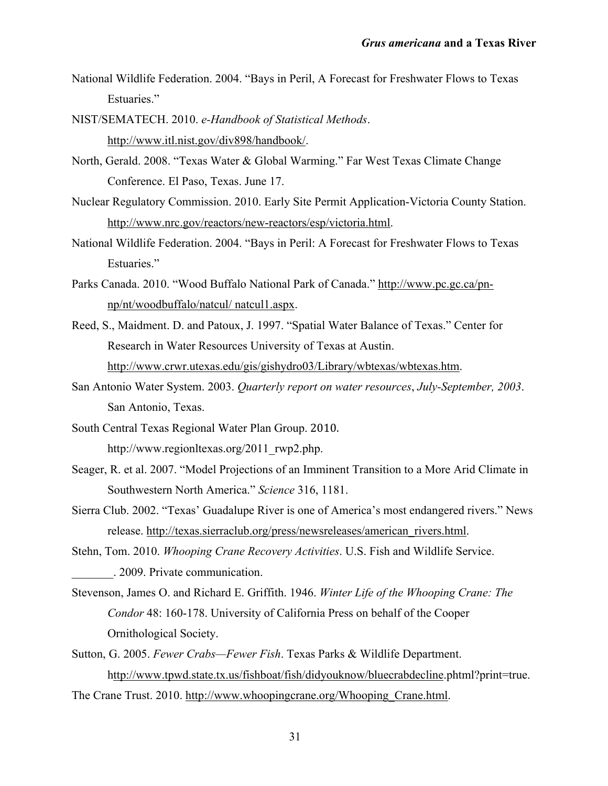- National Wildlife Federation. 2004. "Bays in Peril, A Forecast for Freshwater Flows to Texas Estuaries."
- NIST/SEMATECH. 2010. *e-Handbook of Statistical Methods*. http://www.itl.nist.gov/div898/handbook/.
- North, Gerald. 2008. "Texas Water & Global Warming." Far West Texas Climate Change Conference. El Paso, Texas. June 17.
- Nuclear Regulatory Commission. 2010. Early Site Permit Application-Victoria County Station. http://www.nrc.gov/reactors/new-reactors/esp/victoria.html.
- National Wildlife Federation. 2004. "Bays in Peril: A Forecast for Freshwater Flows to Texas Estuaries."
- Parks Canada. 2010. "Wood Buffalo National Park of Canada." http://www.pc.gc.ca/pnnp/nt/woodbuffalo/natcul/ natcul1.aspx.
- Reed, S., Maidment. D. and Patoux, J. 1997. "Spatial Water Balance of Texas." Center for Research in Water Resources University of Texas at Austin. http://www.crwr.utexas.edu/gis/gishydro03/Library/wbtexas/wbtexas.htm.
- San Antonio Water System. 2003. *Quarterly report on water resources*, *July-September, 2003*. San Antonio, Texas.
- South Central Texas Regional Water Plan Group. 2010. http://www.regionltexas.org/2011\_rwp2.php.
- Seager, R. et al. 2007. "Model Projections of an Imminent Transition to a More Arid Climate in Southwestern North America." *Science* 316, 1181.
- Sierra Club. 2002. "Texas' Guadalupe River is one of America's most endangered rivers." News release. http://texas.sierraclub.org/press/newsreleases/american\_rivers.html.
- Stehn, Tom. 2010. *Whooping Crane Recovery Activities*. U.S. Fish and Wildlife Service. \_\_\_\_\_\_\_. 2009. Private communication.
- Stevenson, James O. and Richard E. Griffith. 1946. *Winter Life of the Whooping Crane: The Condor* 48: 160-178. University of California Press on behalf of the Cooper Ornithological Society.
- Sutton, G. 2005. *Fewer Crabs—Fewer Fish*. Texas Parks & Wildlife Department. http://www.tpwd.state.tx.us/fishboat/fish/didyouknow/bluecrabdecline.phtml?print=true. The Crane Trust. 2010. http://www.whoopingcrane.org/Whooping\_Crane.html.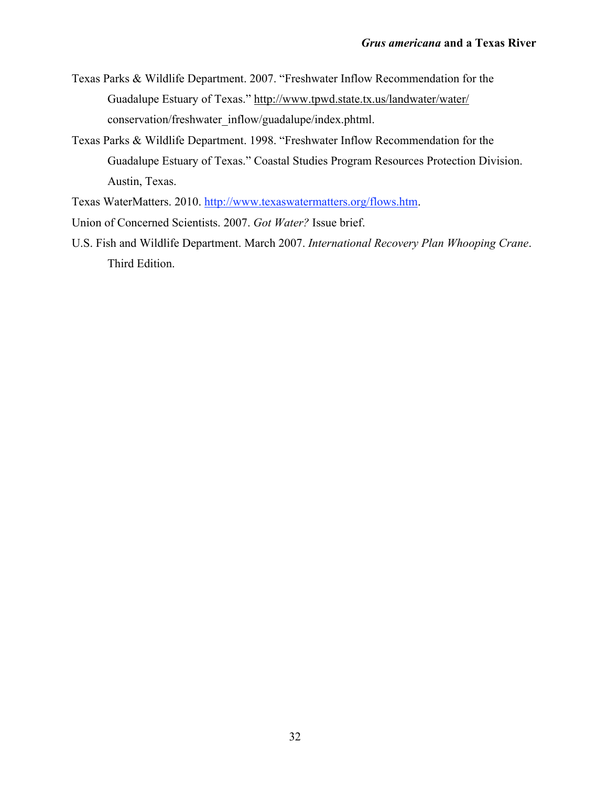Texas Parks & Wildlife Department. 2007. "Freshwater Inflow Recommendation for the Guadalupe Estuary of Texas." http://www.tpwd.state.tx.us/landwater/water/ conservation/freshwater\_inflow/guadalupe/index.phtml.

Texas Parks & Wildlife Department. 1998. "Freshwater Inflow Recommendation for the Guadalupe Estuary of Texas." Coastal Studies Program Resources Protection Division. Austin, Texas.

Texas WaterMatters. 2010. http://www.texaswatermatters.org/flows.htm.

Union of Concerned Scientists. 2007. *Got Water?* Issue brief.

U.S. Fish and Wildlife Department. March 2007. *International Recovery Plan Whooping Crane*. Third Edition.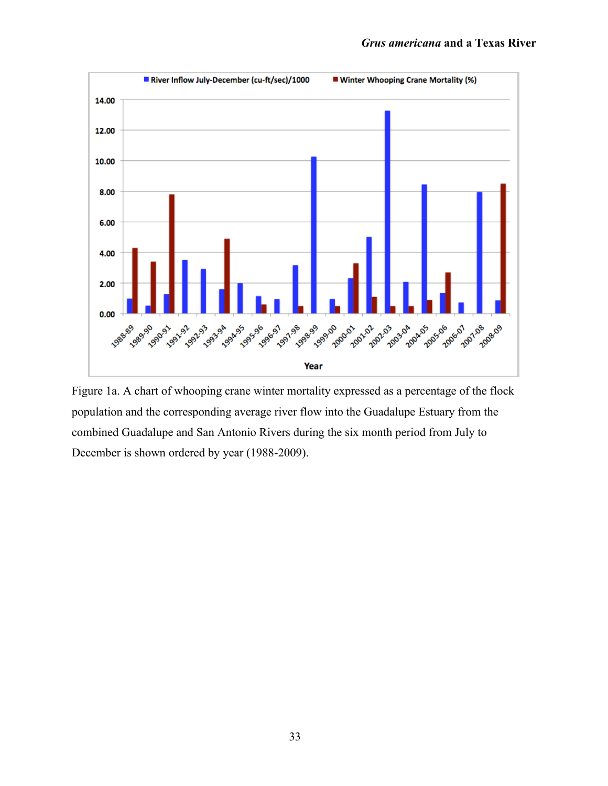

Figure 1a. A chart of whooping crane winter mortality expressed as a percentage of the flock population and the corresponding average river flow into the Guadalupe Estuary from the combined Guadalupe and San Antonio Rivers during the six month period from July to December is shown ordered by year (1988-2009).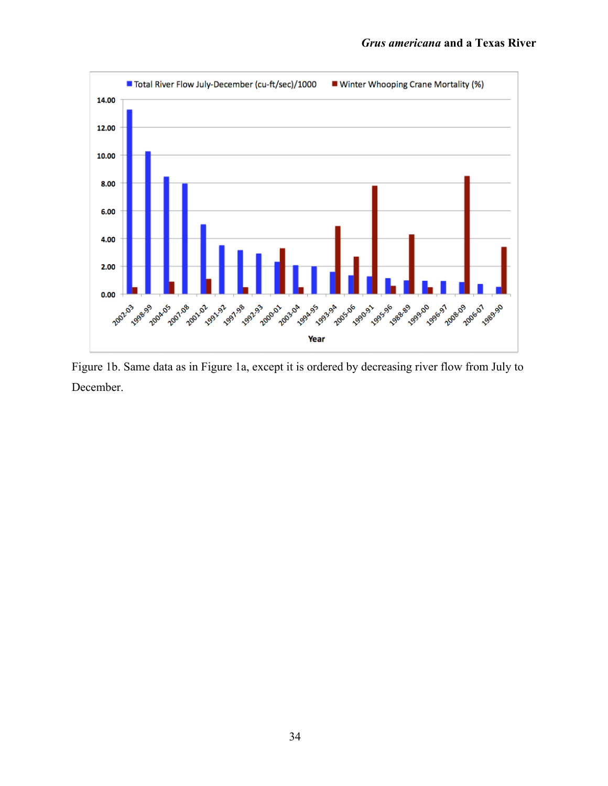

Figure 1b. Same data as in Figure 1a, except it is ordered by decreasing river flow from July to December.